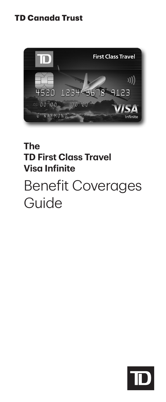# **TD Canada Trust**



# **The TD First Class Travel Visa Infinite** Benefit Coverages Guide

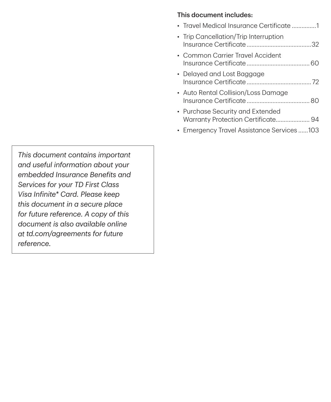#### This document includes:

| • Travel Medical Insurance Certificate 1                                        |
|---------------------------------------------------------------------------------|
| • Trip Cancellation/Trip Interruption                                           |
| • Common Carrier Travel Accident                                                |
| • Delayed and Lost Baggage                                                      |
| • Auto Rental Collision/Loss Damage<br>Insurance Certificate <b>Sanction</b> RO |
| • Purchase Security and Extended<br>Warranty Protection Certificate 94          |
|                                                                                 |

• ......103 Emergency Travel Assistance Services

*This document contains important and useful information about your embedded Insurance Benefits and Services for your TD First Class Visa Infinite\* Card. Please keep this document in a secure place for future reference. A copy of this document is also available online at [td.com/agreements](http://td.com/agreements) for future reference.*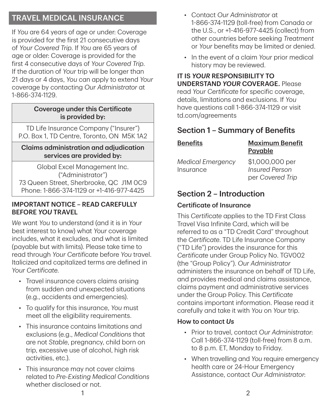# TRAVEL MEDICAL INSURANCE

If *You* are 64 years of age or under: Coverage is provided for the first 21 consecutive days of *Your Covered Trip*. If *You* are 65 years of age or older: Coverage is provided for the first 4 consecutive days of *Your Covered Trip*. If the duration of *Your* trip will be longer than 21 days or 4 days, *You* can apply to extend *Your* coverage by contacting *Our Administrator* at 1‑866‑374‑1129.

#### Coverage under this Certificate is provided by:

TD Life Insurance Company ("Insurer") P.O. Box 1, TD Centre, Toronto, ON M5K 1A2

#### Claims administration and adjudication services are provided by:

Global Excel Management Inc. ("Administrator") 73 Queen Street, Sherbrooke, QC J1M 0C9 Phone: 1‑866‑374‑1129 or +1‑416‑977‑4425

#### IMPORTANT NOTICE – READ CAREFULLY BEFORE *YOU* TRAVEL

*We* want *You* to understand (and it is in *Your* best interest to know) what *Your* coverage includes, what it excludes, and what is limited (payable but with limits). Please take time to read through *Your Certificate* before *You* travel. Italicized and capitalized terms are defined in *Your Certificate*.

- Travel insurance covers claims arising from sudden and unexpected situations (e.g., accidents and emergencies).
- To qualify for this insurance, *You* must meet all the eligibility requirements.
- This insurance contains limitations and exclusions (e.g., *Medical Conditions* that are not *Stable*, pregnancy, child born on trip, excessive use of alcohol, high risk activities, etc.)
- This insurance may not cover claims related to *Pre‑Existing Medical Conditions* whether disclosed or not.
- Contact *Our Administrator* at 1‑866‑374‑1129 (toll‑free) from Canada or the U.S., or +1‑416‑977‑4425 (collect) from other countries before seeking *Treatment* or *Your* benefits may be limited or denied.
- In the event of a claim *Your* prior medical history may be reviewed.

IT IS *YOUR* RESPONSIBILITY TO UNDERSTAND *YOUR* COVERAGE. Please read *Your Certificate* for specific coverage, details, limitations and exclusions. If *You* have questions call 1-866-374-1129 or visit td.com/agreements

# Section 1 – Summary of Benefits

| <b>Benefits</b>                       | <b>Maximum Benefit</b><br>Payable        |
|---------------------------------------|------------------------------------------|
| <b>Medical Emergency</b><br>Insurance | \$1,000,000 per<br><b>Insured Person</b> |
|                                       | per Covered Trip                         |

# Section 2 – Introduction

#### Certificate of Insurance

This *Certificate* applies to the TD First Class Travel Visa Infinite Card, which will be referred to as a "TD Credit Card" throughout the *Certificate*. TD Life Insurance Company ("TD Life") provides the insurance for this *Certificate* under Group Policy No. TGV002 (the "Group Policy"). *Our Administrator* administers the insurance on behalf of TD Life, and provides medical and claims assistance, claims payment and administrative services under the Group Policy. This *Certificate* contains important information. Please read it carefully and take it with *You* on *Your* trip.

#### How to contact *Us*

- Prior to travel, contact *Our Administrator*: Call 1-866-374-1129 (toll-free) from 8 a.m. to 8 p.m. ET, Monday to Friday.
- When travelling and *You* require emergency health care or 24‑Hour Emergency Assistance, contact *Our Administrator*: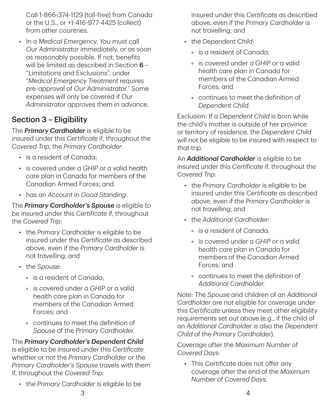Call 1‑866‑374‑1129 (toll‑free) from Canada or the U.S., or +1‑416‑977‑4425 (collect) from other countries.

• In a *Medical Emergency*, *You* must call *Our Administrator* immediately, or as soon as reasonably possible. If not, benefits will be limited as described in Section 6 -"Limitations and Exclusions", under "*Medical Emergency Treatment* requires pre‑approval of *Our Administrator*." Some expenses will only be covered if *Our Administrator* approves them in advance.

# Section 3 – Eligibility

The *Primary Cardholder* is eligible to be insured under this *Certificate* if, throughout the *Covered Trip*, the *Primary Cardholder*:

- is a resident of Canada;
- is covered under a *GHIP* or a valid health care plan in Canada for members of the Canadian Armed Forces; and
- has an *Account* in *Good Standing*.

The *Primary Cardholder's Spouse* is eligible to be insured under this *Certificate* if, throughout the *Covered Trip*:

- the *Primary Cardholder* is eligible to be insured under this *Certificate* as described above, even if the *Primary Cardholder* is not travelling; and
- the *Spouse*:
	- is a resident of Canada;
	- is covered under a *GHIP* or a valid health care plan in Canada for members of the Canadian Armed Forces; and
	- continues to meet the definition of *Spouse* of the *Primary Cardholder*.

The *Primary Cardholder's Dependent Child* is eligible to be insured under this *Certificate* whether or not the *Primary Cardholder* or the *Primary Cardholder's Spouse* travels with them if, throughout the *Covered Trip*:

• the *Primary Cardholder* is eligible to be

insured under this *Certificate* as described above, even if the *Primary Cardholder* is not travelling; and

- the *Dependent Child*:
	- is a resident of Canada;
	- is covered under a *GHIP* or a valid health care plan in Canada for members of the Canadian Armed Forces; and
	- continues to meet the definition of *Dependent Child*.

Exclusion: If a *Dependent Child* is born while the child's mother is outside of her province or territory of residence, the *Dependent Child* will not be eligible to be insured with respect to that trip.

An *Additional Cardholder* is eligible to be insured under this *Certificate* if, throughout the *Covered Trip*:

- the *Primary Cardholder* is eligible to be insured under this *Certificate* as described above, even if the *Primary Cardholder* is not travelling; and
- the *Additional Cardholder*:
	- is a resident of Canada;
	- is covered under a *GHIP* or a valid health care plan in Canada for members of the Canadian Armed Forces; and
	- continues to meet the definition of *Additional Cardholder*.

Note: The *Spouse* and children of an *Additional Cardholder* are not eligible for coverage under this *Certificate* unless they meet other eligibility requirements set out above (e.g., if the child of an *Additional Cardholder* is also the *Dependent Child* of the *Primary Cardholder*).

Coverage after the *Maximum Number of Covered Days*:

• This *Certificate* does not offer any coverage after the end of the *Maximum Number of Covered Days*.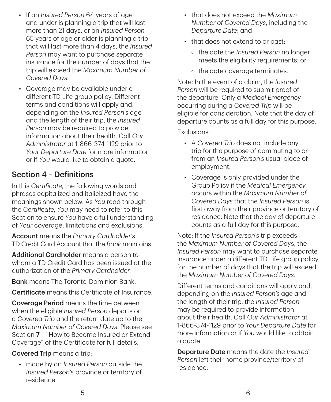- If an *Insured Person* 64 years of age and under is planning a trip that will last more than 21 days, or an *Insured Person* 65 years of age or older is planning a trip that will last more than 4 days, the *Insured Person* may want to purchase separate insurance for the number of days that the trip will exceed the *Maximum Number of Covered Days*.
- Coverage may be available under a different TD Life group policy. Different terms and conditions will apply and, depending on the *Insured Person's* age and the length of their trip, the *Insured Person* may be required to provide information about their health. Call *Our Administrator* at 1‑866‑374‑1129 prior to *Your Departure Date* for more information or if *You* would like to obtain a quote.

# Section 4 – Definitions

In this *Certificate*, the following words and phrases capitalized and italicized have the meanings shown below. As *You* read through the *Certificate*, *You* may need to refer to this Section to ensure *You* have a full understanding of *Your* coverage, limitations and exclusions.

Account means the *Primary Cardholder's* TD Credit Card Account that the *Bank* maintains.

Additional Cardholder means a person to whom a TD Credit Card has been issued at the authorization of the *Primary Cardholder*.

**Bank** means The Toronto-Dominion Bank.

Certificate means this Certificate of Insurance.

**Coverage Period** means the time between when the eligible *Insured Person* departs on a *Covered Trip* and the return date up to the *Maximum Number of Covered Days*. Please see Section 7 – "How to Become Insured or Extend Coverage" of the Certificate for full details.

#### Covered Trip means a trip:

• made by an *Insured Person* outside the *Insured Person's* province or territory of residence;

- that does not exceed the *Maximum Number of Covered Days*, including the *Departure Date*; and
- that does not extend to or past:
	- the date the *Insured Person* no longer meets the eligibility requirements; or
	- the date coverage terminates.

Note: In the event of a claim, the *Insured Person* will be required to submit proof of the departure. Only a *Medical Emergency* occurring during a *Covered Trip* will be eligible for consideration. Note that the day of departure counts as a full day for this purpose.

#### Exclusions:

- A *Covered Trip* does not include any trip for the purpose of commuting to or from an *Insured Person's* usual place of employment.
- Coverage is only provided under the Group Policy if the *Medical Emergency* occurs within the *Maximum Number of Covered Days* that the *Insured Person* is first away from their province or territory of residence. Note that the day of departure counts as a full day for this purpose.

Note: If the *Insured Person's* trip exceeds the *Maximum Number of Covered Day*s, the *Insured Person* may want to purchase separate insurance under a different TD Life group policy for the number of days that the trip will exceed the *Maximum Number of Covered Days*.

Different terms and conditions will apply and, depending on the *Insured Person's* age and the length of their trip, the *Insured Person* may be required to provide information about their health. Call *Our Administrator* at 1‑866‑374‑1129 prior to *Your Departure Date* for more information or if *You* would like to obtain a quote.

Departure Date means the date the *Insured Person* left their home province/territory of residence.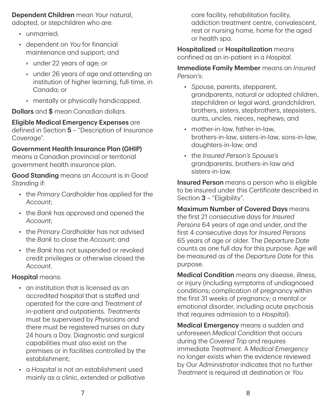Dependent Children mean *Your* natural, adopted, or stepchildren who are:

- unmarried:
- dependent on *You* for financial maintenance and support; and
	- under 22 years of age; or
	- under 26 years of age and attending an institution of higher learning, full-time, in Canada; or
	- mentally or physically handicapped.

**Dollars** and \$ mean Canadian dollars.

Eligible Medical Emergency Expenses are defined in Section 5 – "Description of Insurance Coverage".

#### Government Health Insurance Plan (GHIP)

means a Canadian provincial or territorial government health insurance plan.

Good Standing means an *Account* is in *Good Standing* if:

- the *Primary Cardholder* has applied for the *Account*;
- the *Bank* has approved and opened the *Account*;
- the *Primary Cardholder* has not advised the *Bank* to close the *Account*; and
- the *Bank* has not suspended or revoked credit privileges or otherwise closed the *Account*.

#### Hospital means:

- an institution that is licensed as an accredited hospital that is staffed and operated for the care and *Treatment* of in‑patient and outpatients. *Treatments* must be supervised by *Physicians* and there must be registered nurses on duty 24 hours a Day. Diagnostic and surgical capabilities must also exist on the premises or in facilities controlled by the establishment;
- a *Hospital* is not an establishment used mainly as a clinic, extended or palliative

care facility, rehabilitation facility, addiction treatment centre, convalescent, rest or nursing home, home for the aged or health spa.

Hospitalized or Hospitalization means confined as an in‑patient in a *Hospital*.

Immediate Family Member means an *Insured Person's*:

- *Spouse*, parents, stepparent, grandparents, natural or adopted children, stepchildren or legal ward, grandchildren, brothers, sisters, stepbrothers, stepsisters, aunts, uncles, nieces, nephews; and
- mother-in-law, father-in-law, brothers‑in‑law, sisters‑in‑law, sons‑in‑law, daughters‑in‑law; and
- the *Insured Person's Spouse's* grandparents, brothers‑in‑law and sisters‑in‑law.

Insured Person means a person who is eligible to be insured under this *Certificate* described in Section 3 - "Eligibility".

Maximum Number of Covered Days means the first 21 consecutive days for *Insured Persons* 64 years of age and under, and the first 4 consecutive days for *Insured Persons* 65 years of age or older. The *Departure Date* counts as one full day for this purpose. Age will be measured as of the *Departure Date* for this purpose.

Medical Condition means any disease, illness, or injury (including symptoms of undiagnosed conditions; complication of pregnancy within the first 31 weeks of pregnancy; a mental or emotional disorder, including acute psychosis that requires admission to a *Hospital*).

Medical Emergency means a sudden and unforeseen *Medical Condition* that occurs during the *Covered Trip* and requires immediate *Treatment*. A *Medical Emergency* no longer exists when the evidence reviewed by *Our Administrator* indicates that no further *Treatment* is required at destination or *You*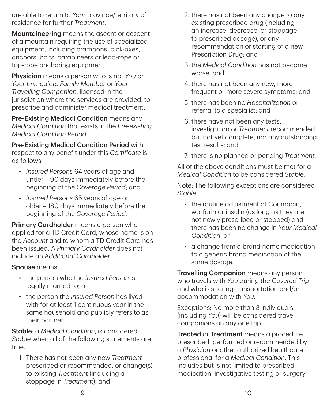are able to return to *Your* province/territory of residence for further *Treatment*.

Mountaineering means the ascent or descent of a mountain requiring the use of specialized equipment, including crampons, pick‑axes, anchors, bolts, carabineers or lead‑rope or top‑rope anchoring equipment.

Physician means a person who is not *You* or *Your Immediate Family Member* or *Your Travelling Companion*, licensed in the jurisdiction where the services are provided, to prescribe and administer medical treatment.

Pre-Existing Medical Condition means any *Medical Condition* that exists in the *Pre‑existing Medical Condition Period*.

Pre‑Existing Medical Condition Period with respect to any benefit under this *Certificate* is as follows:

- *Insured Persons* 64 years of age and under – 90 days immediately before the beginning of the *Coverage Period*; and
- *Insured Persons* 65 years of age or older – 180 days immediately before the beginning of the *Coverage Period*.

Primary Cardholder means a person who applied for a TD Credit Card, whose name is on the *Account* and to whom a TD Credit Card has been issued. A *Primary Cardholder* does not include an A*dditional Cardholder*.

#### Spouse means:

- the person who the *Insured Person* is legally married to; or
- the person the *Insured Person* has lived with for at least 1 continuous year in the same household and publicly refers to as their partner.

Stable: a *Medical Condition*, is considered *Stable* when all of the following statements are true:

1. There has not been any new *Treatment* prescribed or recommended, or change(s) to existing *Treatment* (including a stoppage in *Treatment*); and

- 2. there has not been any change to any existing prescribed drug (including an increase, decrease, or stoppage to prescribed dosage), or any recommendation or starting of a new Prescription Drug; and
- 3. the *Medical Condition* has not become worse; and
- 4. there has not been any new, more frequent or more severe symptoms; and
- 5. there has been no *Hospitalization* or referral to a specialist; and
- 6. there have not been any tests, investigation or *Treatment* recommended, but not yet complete, nor any outstanding test results; and
- 7. there is no planned or pending *Treatment*.

All of the above conditions must be met for a *Medical Condition* to be considered *Stable*.

Note: The following exceptions are considered *Stable*:

- the routine adjustment of Coumadin, warfarin or insulin (as long as they are not newly prescribed or stopped) and there has been no change in *Your Medical Condition*; or
- a change from a brand name medication to a generic brand medication of the same dosage.

Travelling Companion means any person who travels with *You* during the *Covered Trip* and who is sharing transportation and/or accommodation with *You*.

Exceptions: No more than 3 individuals (including *You*) will be considered travel companions on any one trip.

**Treated or Treatment** means a procedure prescribed, performed or recommended by a *Physician* or other authorized healthcare professional for a *Medical Condition*. This includes but is not limited to prescribed medication, investigative testing or surgery.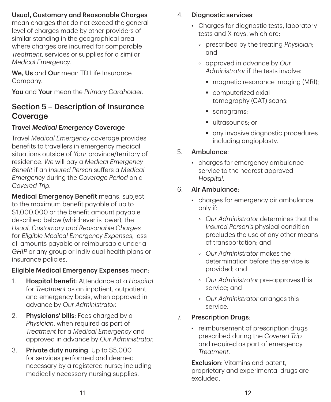### Usual, Customary and Reasonable Charges

mean charges that do not exceed the general level of charges made by other providers of similar standing in the geographical area where charges are incurred for comparable *Treatment*, services or supplies for a similar *Medical Emergency*.

We. Us and Our mean TD Life Insurance Company.

You and Your mean the *Primary Cardholder*.

# Section 5 – Description of Insurance Coverage

### Travel *Medical Emergency* Coverage

Travel *Medical Emergency* coverage provides benefits to travellers in emergency medical situations outside of *Your* province/territory of residence. *We* will pay a *Medical Emergency Benefit* if an *Insured Person* suffers a *Medical Emergency* during the *Coverage Period* on a *Covered Trip*.

Medical Emergency Benefit means, subject to the maximum benefit payable of up to \$1,000,000 or the benefit amount payable described below (whichever is lower), the *Usual, Customary and Reasonable Charges* for *Eligible Medical Emergency Expenses*, less all amounts payable or reimbursable under a *GHIP* or any group or individual health plans or insurance policies.

#### Eligible Medical Emergency Expenses mean:

- 1. Hospital benefit: Attendance at a *Hospital* for *Treatment* as an inpatient, outpatient, and emergency basis, when approved in advance by *Our Administrator*.
- 2. **Physicians' bills**: Fees charged by a *Physician*, when required as part of *Treatment* for a *Medical Emergency* and approved in advance by *Our Administrator*.
- 3. Private duty nursing: Up to \$5,000 for services performed and deemed necessary by a registered nurse; including medically necessary nursing supplies.

#### 4. Diagnostic services:

- Charges for diagnostic tests, laboratory tests and X‑rays, which are:
	- prescribed by the treating *Physician*; and
	- approved in advance by *Our Administrator* if the tests involve:
		- **magnetic resonance imaging (MRI);**
		- computerized axial tomography (CAT) scans;
		- sonograms:
		- ultrasounds: or
		- **a** any invasive diagnostic procedures including angioplasty.

#### : 5. Ambulance

• charges for emergency ambulance service to the nearest approved *Hospital*.

#### 6. Air Ambulance:

- charges for emergency air ambulance only if:
	- *Our Administrator* determines that the *Insured Person's* physical condition precludes the use of any other means of transportation; and
	- *Our Administrator* makes the determination before the service is provided; and
	- *Our Administrator* pre‑approves this service; and
	- *Our Administrator* arranges this service.
- 7. Prescription Drugs:
	- reimbursement of prescription drugs prescribed during the *Covered Trip* and required as part of emergency *Treatment*.

**Exclusion**: Vitamins and patent. proprietary and experimental drugs are excluded.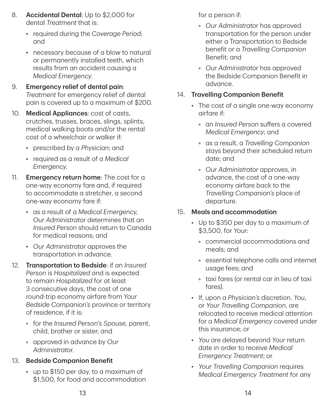- 8. Accidental Dental: Up to \$2,000 for dental *Treatment* that is:
	- required during the *Coverage Period*; and
	- necessary because of a blow to natural or permanently installed teeth, which results from an accident causing a *Medical Emergency*.
- 9. Emergency relief of dental pain: *Treatment* for emergency relief of dental pain is covered up to a maximum of \$200.
- 10. Medical Appliances: cost of casts, crutches, trusses, braces, slings, splints, medical walking boots and/or the rental cost of a wheelchair or walker if:
	- prescribed by a *Physician*; and
	- required as a result of a *Medical Emergency*.
- 11. **Emergency return home:** The cost for a one‑way economy fare and, if required to accommodate a stretcher, a second one‑way economy fare if:
	- as a result of a *Medical Emergency*, *Our Administrator* determines that an *Insured Person* should return to Canada for medical reasons; and
	- *Our Administrator* approves the transportation in advance.
- 12. Transportation to Bedside: if an *Insured Person* is *Hospitalized* and is expected to remain *Hospitalized* for at least 3 consecutive days, the cost of one round‑trip economy airfare from *Your Bedside Companion's* province or territory of residence, if it is:
	- for the *Insured Person's Spouse*, parent, child, brother or sister; and
	- approved in advance by *Our Administrator*.

### 13. Bedside Companion Benefit

• up to \$150 per day, to a maximum of \$1,500, for food and accommodation for a person if:

- *Our Administrator* has approved transportation for the person under either a Transportation to Bedside benefit or a *Travelling Companion* Benefit; and
- *Our Administrator* has approved the Bedside Companion Benefit in advance.

#### 14. Travelling Companion Benefit

- The cost of a single one-way economy airfare if:
	- an *Insured Person* suffers a covered *Medical Emergency*; and
	- as a result, a *Travelling Companion* stays beyond their scheduled return date; and
	- *Our Administrator* approves, in advance, the cost of a one‑way economy airfare back to the *Travelling Companion's* place of departure.

### 15. Meals and accommodation

- Up to \$350 per day to a maximum of \$3,500, for *Your*:
	- commercial accommodations and meals; and
	- essential telephone calls and internet usage fees; and
	- taxi fares (or rental car in lieu of taxi fares).
- If, upon a *Physician's* discretion. *You*, or *Your Travelling Companion*, are relocated to receive medical attention for a *Medical Emergency* covered under this insurance; or
- *You* are delayed beyond *Your* return date in order to receive *Medical Emergency Treatment*; or
- *Your Travelling Companion* requires *Medical Emergency Treatment* for any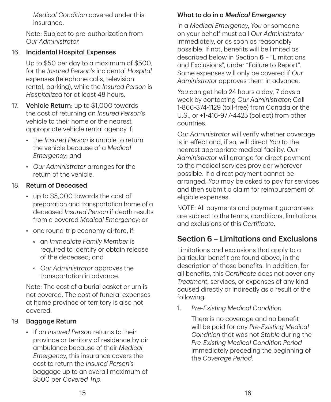*Medical Condition* covered under this insurance.

Note: Subject to pre‑authorization from *Our Administrator*.

#### 16. Incidental Hospital Expenses

Up to \$50 per day to a maximum of \$500, for the *Insured Person's* incidental *Hospital* expenses (telephone calls, television rental, parking), while the *Insured Person* is *Hospitalized* for at least 48 hours.

- 17. **Vehicle Return**: up to \$1,000 towards the cost of returning an *Insured Person's* vehicle to their home or the nearest appropriate vehicle rental agency if:
	- the *Insured Person* is unable to return the vehicle because of a *Medical Emergency*; and
	- *Our Administrator* arranges for the return of the vehicle.

#### 18. Return of Deceased

- up to \$5,000 towards the cost of preparation and transportation home of a deceased *Insured Person* if death results from a covered *Medical Emergency*; or
- one round-trip economy airfare, if:
	- an *Immediate Family Member* is required to identify or obtain release of the deceased; and
	- *Our Administrator* approves the transportation in advance.

Note: The cost of a burial casket or urn is not covered. The cost of funeral expenses at home province or territory is also not covered.

#### 19. Baggage Return

• If an *Insured Person* returns to their province or territory of residence by air ambulance because of their *Medical Emergency*, this insurance covers the cost to return the *Insured Person's* baggage up to an overall maximum of \$500 per *Covered Trip*.

### What to do in a *Medical Emergency*

In a *Medical Emergency*, *You* or someone on your behalf must call *Our Administrator* immediately, or as soon as reasonably possible. If not, benefits will be limited as described below in Section 6 – "Limitations and Exclusions", under "Failure to Report". Some expenses will only be covered if *Our Administrator* approves them in advance.

*You* can get help 24 hours a day, 7 days a week by contacting *Our Administrator*: Call 1‑866‑374‑1129 (toll‑free) from Canada or the U.S., or +1‑416‑977‑4425 (collect) from other countries.

*Our Administrator* will verify whether coverage is in effect and, if so, will direct *You* to the nearest appropriate medical facility. *Our Administrator* will arrange for direct payment to the medical services provider wherever possible. If a direct payment cannot be arranged, *You* may be asked to pay for services and then submit a claim for reimbursement of eligible expenses.

NOTE: All payments and payment guarantees are subject to the terms, conditions, limitations and exclusions of this *Certificate*.

# Section 6 – Limitations and Exclusions

Limitations and exclusions that apply to a particular benefit are found above, in the description of those benefits. In addition, for all benefits, this *Certificate* does not cover any *Treatment*, services, or expenses of any kind caused directly or indirectly as a result of the following:

1. *Pre‑Existing Medical Condition*

There is no coverage and no benefit will be paid for any *Pre‑Existing Medical Condition* that was not *Stable* during the *Pre‑Existing Medical Condition Period* immediately preceding the beginning of the *Coverage Period*.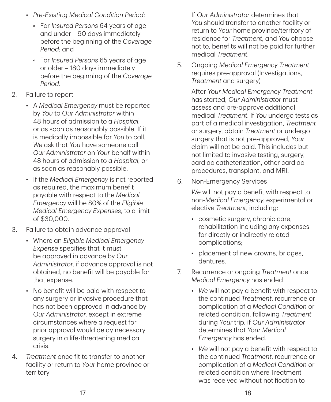- *Pre‑Existing Medical Condition Period*:
	- For *Insured Persons* 64 years of age and under – 90 days immediately before the beginning of the *Coverage Period*; and
	- For *Insured Persons* 65 years of age or older – 180 days immediately before the beginning of the *Coverage Period*.
- 2. Failure to report
	- A *Medical Emergency* must be reported by *You* to *Our Administrator* within 48 hours of admission to a *Hospital*, or as soon as reasonably possible. If it is medically impossible for *You* to call, *We* ask that *You* have someone call *Our Administrator* on *Your* behalf within 48 hours of admission to a *Hospital*, or as soon as reasonably possible.
	- If the *Medical Emergency* is not reported as required, the maximum benefit payable with respect to the *Medical Emergency* will be 80% of the *Eligible Medical Emergency Expenses*, to a limit of \$30,000.
- 3. Failure to obtain advance approval
	- Where an *Eligible Medical Emergency Expense* specifies that it must be approved in advance by *Our Administrator*, if advance approval is not obtained, no benefit will be payable for that expense.
	- No benefit will be paid with respect to any surgery or invasive procedure that has not been approved in advance by *Our Administrator*, except in extreme circumstances where a request for prior approval would delay necessary surgery in a life-threatening medical crisis.
- 4. *Treatment* once fit to transfer to another facility or return to *Your* home province or territory

If *Our Administrator* determines that *You* should transfer to another facility or return to *Your* home province/territory of residence for *Treatment*, and *You* choose not to, benefits will not be paid for further medical *Treatment*.

5. Ongoing *Medical Emergency Treatment* requires pre‑approval (Investigations, *Treatment* and surgery)

> After *Your Medical Emergency Treatment* has started, *Our Administrator* must assess and pre‑approve additional medical *Treatment*. If *You* undergo tests as part of a medical investigation, *Treatment* or surgery, obtain *Treatment* or undergo surgery that is not pre‑approved, *Your* claim will not be paid. This includes but not limited to invasive testing, surgery, cardiac catheterization, other cardiac procedures, transplant, and MRI.

6. Non‑Emergency Services

*We* will not pay a benefit with respect to non‑*Medical Emergency*, experimental or elective *Treatment*, including:

- cosmetic surgery, chronic care, rehabilitation including any expenses for directly or indirectly related complications;
- placement of new crowns, bridges, dentures.
- 7. Recurrence or ongoing *Treatment* once *Medical Emergency* has ended
	- *We* will not pay a benefit with respect to the continued *Treatment*, recurrence or complication of a *Medical Condition* or related condition, following *Treatment* during *Your* trip, if *Our Administrator* determines that *Your Medical Emergency* has ended.
	- *We* will not pay a benefit with respect to the continued *Treatment*, recurrence or complication of a *Medical Condition* or related condition where Treatment was received without notification to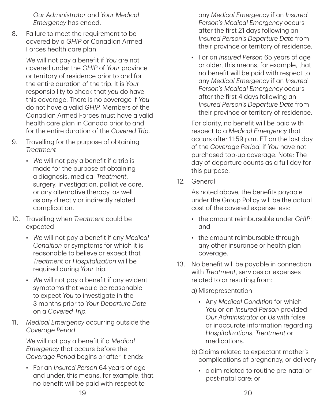*Our Administrator* and *Your Medical Emergency* has ended.

8. Failure to meet the requirement to be covered by a *GHIP* or Canadian Armed Forces health care plan

> *We* will not pay a benefit if *You* are not covered under the *GHIP* of *Your* province or territory of residence prior to and for the entire duration of the trip. It is *Your* responsibility to check that *you* do have this coverage. There is no coverage if *You* do not have a valid *GHIP*. Members of the Canadian Armed Forces must have a valid health care plan in Canada prior to and for the entire duration of the *Covered Trip*.

- 9. Travelling for the purpose of obtaining *Treatment*
	- *We* will not pay a benefit if a trip is made for the purpose of obtaining a diagnosis, medical *Treatment*, surgery, investigation, palliative care, or any alternative therapy, as well as any directly or indirectly related complication.
- 10. Travelling when *Treatment* could be expected
	- *We* will not pay a benefit if any *Medical Condition* or symptoms for which it is reasonable to believe or expect that *Treatment* or *Hospitalization* will be required during *Your* trip.
	- *We* will not pay a benefit if any evident symptoms that would be reasonable to expect *You* to investigate in the 3 months prior to *Your Departure Date* on a *Covered Trip*.
- 11. *Medical Emergency* occurring outside the *Coverage Period*

*We* will not pay a benefit if a *Medical Emergency* that occurs before the *Coverage Period* begins or after it ends:

• For an *Insured Person* 64 years of age and under, this means, for example, that no benefit will be paid with respect to

any *Medical Emergency* if an *Insured Person's Medical Emergency* occurs after the first 21 days following an *Insured Person's Departure Date* from their province or territory of residence.

• For an *Insured Person* 65 years of age or older, this means, for example, that no benefit will be paid with respect to any *Medical Emergency* if an *Insured Person's Medical Emergency* occurs after the first 4 days following an *Insured Person's Departure Date* from their province or territory of residence.

For clarity, no benefit will be paid with respect to a *Medical Emergency* that occurs after 11:59 p.m. ET on the last day of the *Coverage Period*, if *You* have not purchased top‑up coverage. Note: The day of departure counts as a full day for this purpose.

12. General

As noted above, the benefits payable under the Group Policy will be the actual cost of the covered expense less:

- the amount reimbursable under *GHIP*; and
- the amount reimbursable through any other insurance or health plan coverage.
- 13. No benefit will be payable in connection with *Treatment*, services or expenses related to or resulting from:

a) Misrepresentation

- Any *Medical Condition* for which *You* or an *Insured Person* provided *Our Administrator* or *Us* with false or inaccurate information regarding *Hospitalizations*, *Treatment* or medications.
- b) Claims related to expectant mother's complications of pregnancy, or delivery
	- claim related to routine pre-natal or post‑natal care; or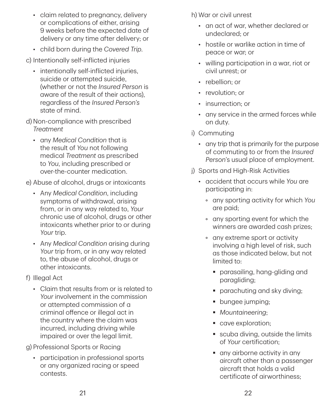- claim related to pregnancy, delivery or complications of either, arising 9 weeks before the expected date of delivery or any time after delivery; or
- child born during the *Covered Trip*.

c) Intentionally self‑inflicted injuries

- intentionally self-inflicted injuries, suicide or attempted suicide, (whether or not the *Insured Person* is aware of the result of their actions), regardless of the *Insured Person's* state of mind.
- d) Non‑compliance with prescribed *Treatment*
	- any *Medical Condition* that is the result of *You* not following medical *Treatment* as prescribed to *You*, including prescribed or over‑the‑counter medication.

e) Abuse of alcohol, drugs or intoxicants

- Any *Medical Condition*, including symptoms of withdrawal, arising from, or in any way related to, *Your* chronic use of alcohol, drugs or other intoxicants whether prior to or during *Your* trip.
- Any *Medical Condition* arising during *Your* trip from, or in any way related to, the abuse of alcohol, drugs or other intoxicants.
- f) Illegal Act
	- Claim that results from or is related to *Your* involvement in the commission or attempted commission of a criminal offence or illegal act in the country where the claim was incurred, including driving while impaired or over the legal limit.

g) Professional Sports or Racing

• participation in professional sports or any organized racing or speed contests.

h) War or civil unrest

- an act of war, whether declared or undeclared; or
- hostile or warlike action in time of peace or war; or
- willing participation in a war, riot or civil unrest; or
- rebellion; or
- revolution: or
- insurrection; or
- any service in the armed forces while on duty.
- i) Commuting
	- any trip that is primarily for the purpose of commuting to or from the *Insured Person*'s usual place of employment.
- j) Sports and High-Risk Activities
	- accident that occurs while *You* are participating in:
		- any sporting activity for which *You* are paid;
		- any sporting event for which the winners are awarded cash prizes;
		- any extreme sport or activity involving a high level of risk, such as those indicated below, but not limited to:
			- parasailing, hang-gliding and paragliding;
			- **parachuting and sky diving;**
			- **•** bungee jumping;
			- *Mountaineering*;
			- cave exploration;
			- scuba diving, outside the limits of *Your* certification;
			- any airborne activity in any aircraft other than a passenger aircraft that holds a valid certificate of airworthiness;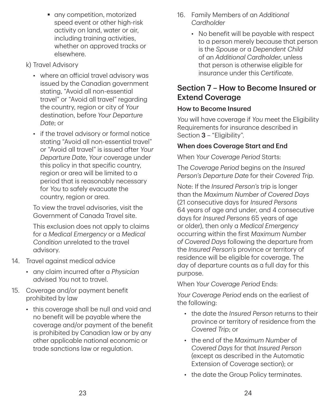- **a** any competition, motorized speed event or other high-risk activity on land, water or air, including training activities, whether on approved tracks or elsewhere.
- k) Travel Advisory
	- where an official travel advisory was issued by the Canadian government stating, "Avoid all non‑essential travel" or "Avoid all travel" regarding the country, region or city of *Your* destination, before *Your Departure Date*; or
	- if the travel advisory or formal notice stating "Avoid all non‑essential travel" or "Avoid all travel" is issued after *Your Departure Date*, *Your* coverage under this policy in that specific country, region or area will be limited to a period that is reasonably necessary for *You* to safely evacuate the country, region or area.

To view the travel advisories, visit the Government of Canada Travel site.

This exclusion does not apply to claims for a *Medical Emergency* or a *Medical Condition* unrelated to the travel advisory.

- 14. Travel against medical advice
	- any claim incurred after a *Physician* advised *You* not to travel.
- 15. Coverage and/or payment benefit prohibited by law
	- this coverage shall be null and void and no benefit will be payable where the coverage and/or payment of the benefit is prohibited by Canadian law or by any other applicable national economic or trade sanctions law or regulation.
- 16. Family Members of an *Additional Cardholder*
	- No benefit will be payable with respect to a person merely because that person is the *Spouse* or a *Dependent Child* of an *Additional Cardholder*, unless that person is otherwise eligible for insurance under this *Certificate*.

# Section 7 – How to Become Insured or Extend Coverage

#### How to Become Insured

*You* will have coverage if *You* meet the Eligibility Requirements for insurance described in Section 3 – "Eligibility".

#### When does Coverage Start and End

When *Your Coverage Period* Starts:

The *Coverage Period* begins on the *Insured Person's Departure Date* for their *Covered Trip*.

Note: If the *Insured Person's* trip is longer than the *Maximum Number of Covered Days* (21 consecutive days for *Insured Persons* 64 years of age and under, and 4 consecutive days for *Insured Persons* 65 years of age or older), then only a *Medical Emergency* occurring within the first *Maximum Number of Covered Days* following the departure from the *Insured Person's* province or territory of residence will be eligible for coverage. The day of departure counts as a full day for this purpose.

When *Your Coverage Period* Ends:

*Your Coverage Period* ends on the earliest of the following:

- the date the *Insured Person* returns to their province or territory of residence from the *Covered Trip*; or
- the end of the *Maximum Number* of *Covered Days* for that *Insured Person* (except as described in the Automatic Extension of Coverage section); or
- the date the Group Policy terminates.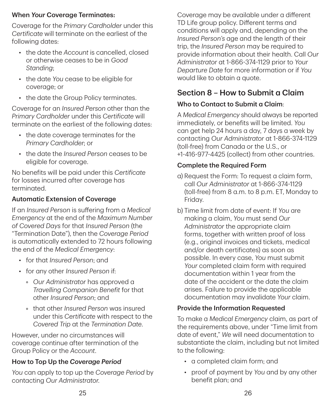#### When *Your* Coverage Terminates:

Coverage for the *Primary Cardholder* under this *Certificate* will terminate on the earliest of the following dates:

- the date the *Account* is cancelled, closed or otherwise ceases to be in *Good Standing*;
- the date *You* cease to be eligible for coverage; or
- the date the Group Policy terminates.

Coverage for an *Insured Person* other than the *Primary Cardholder* under this *Certificate* will terminate on the earliest of the following dates:

- the date coverage terminates for the *Primary Cardholder*; or
- the date the *Insured Person* ceases to be eligible for coverage.

No benefits will be paid under this *Certificate* for losses incurred after coverage has terminated.

# Automatic Extension of Coverage

If an *Insured Person* is suffering from a *Medical Emergency* at the end of the *Maximum Number of Covered Days* for that *Insured Person* (the "Termination Date"), then the *Coverage Period* is automatically extended to 72 hours following the end of the *Medical Emergency*:

- for that *Insured Person*; and
- for any other *Insured Person* if:
	- *Our Administrator* has approved a *Travelling Companion Benefit* for that other *Insured Person*; and
	- that other *Insured Person* was insured under this *Certificate* with respect to the *Covered Trip* at the *Termination Date*.

However, under no circumstances will coverage continue after termination of the Group Policy or the *Account*.

# How to Top Up the *Coverage Period*

*You* can apply to top up the *Coverage Period* by contacting *Our Administrator*.

Coverage may be available under a different TD Life group policy. Different terms and conditions will apply and, depending on the *Insured Person's* age and the length of their trip, the *Insured Person* may be required to provide information about their health. Call *Our Administrator* at 1‑866‑374‑1129 prior to *Your Departure Date* for more information or if *You* would like to obtain a quote.

# Section 8 – How to Submit a Claim

# Who to Contact to Submit a Claim:

A *Medical Emergency* should always be reported immediately, or benefits will be limited. *You* can get help 24 hours a day, 7 days a week by contacting *Our Administrator* at 1‑866‑374‑1129 (toll‑free) from Canada or the U.S., or +1‑416‑977‑4425 (collect) from other countries.

# Complete the Required Form

- a) Request the Form: To request a claim form, call *Our Administrator* at 1‑866‑374‑1129 (toll‑free) from 8 a.m. to 8 p.m. ET, Monday to Friday.
- b) Time limit from date of event: If *You* are making a claim, *You* must send *Our Administrator* the appropriate claim forms, together with written proof of loss (e.g., original invoices and tickets, medical and/or death certificates) as soon as possible. In every case, *You* must submit *Your* completed claim form with required documentation within 1 year from the date of the accident or the date the claim arises. Failure to provide the applicable documentation may invalidate *Your* claim.

# Provide the Information Requested

To make a *Medical Emergency* claim, as part of the requirements above, under "Time limit from date of event," *We* will need documentation to substantiate the claim, including but not limited to the following:

- a completed claim form; and
- proof of payment by *You* and by any other benefit plan; and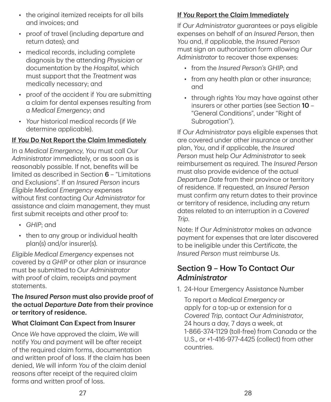- the original itemized receipts for all bills and invoices; and
- proof of travel (including departure and return dates); and
- medical records, including complete diagnosis by the attending *Physician* or documentation by the *Hospital*, which must support that the *Treatment* was medically necessary; and
- proof of the accident if *You* are submitting a claim for dental expenses resulting from a *Medical Emergency*; and
- *Your* historical medical records (if *We* determine applicable).

#### If *You* Do Not Report the Claim Immediately

In a *Medical Emergency*, *You* must call *Our Administrator* immediately, or as soon as is reasonably possible. If not, benefits will be limited as described in Section 6 – "Limitations and Exclusions". If an *Insured Person* incurs *Eligible Medical Emergency* expenses without first contacting *Our Administrator* for assistance and claim management, they must first submit receipts and other proof to:

- *GHIP*; and
- then to any group or individual health plan(s) and/or insurer(s).

*Eligible Medical Emergency* expenses not covered by a *GHIP* or other plan or insurance must be submitted to *Our Administrator* with proof of claim, receipts and payment statements.

#### The *Insured Person* must also provide proof of the actual *Departure Date* from their province or territory of residence.

#### What Claimant Can Expect from Insurer

Once *We* have approved the claim, *We* will notify *You* and payment will be after receipt of the required claim forms, documentation and written proof of loss. If the claim has been denied, *We* will inform *You* of the claim denial reasons after receipt of the required claim forms and written proof of loss.

# If *You* Report the Claim Immediately

If *Our Administrator* guarantees or pays eligible expenses on behalf of an *Insured Person*, then *You* and, if applicable, the *Insured Person* must sign an authorization form allowing *Our Administrator* to recover those expenses:

- from the *Insured Person's GHIP*; and
- from any health plan or other insurance: and
- through rights *You* may have against other insurers or other parties (see Section 10 – "General Conditions", under "Right of Subrogation").

If *Our Administrator* pays eligible expenses that are covered under other insurance or another plan, *You*, and if applicable, the *Insured Person* must help *Our Administrator* to seek reimbursement as required. The *Insured Person* must also provide evidence of the actual *Departure Date* from their province or territory of residence. If requested, an *Insured Person* must confirm any return dates to their province or territory of residence, including any return dates related to an interruption in a *Covered Trip*.

Note: If *Our Administrator* makes an advance payment for expenses that are later discovered to be ineligible under this *Certificate*, the *Insured Person* must reimburse *Us*.

# Section 9 – How To Contact *Our Administrator*

1. 24‑Hour Emergency Assistance Number

To report a *Medical Emergency* or apply for a top‑up or extension for a *Covered Trip*, contact *Our Administrator*, 24 hours a day, 7 days a week, at 1‑866‑374‑1129 (toll‑free) from Canada or the U.S., or +1‑416‑977‑4425 (collect) from other countries.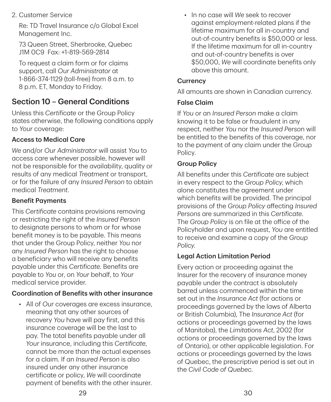2. Customer Service

Re: TD Travel Insurance c/o Global Excel Management Inc.

73 Queen Street, Sherbrooke, Quebec J1M 0C9 Fax: +1‑819‑569‑2814

To request a claim form or for claims support, call *Our Administrator* at 1‑866‑374‑1129 (toll‑free) from 8 a.m. to 8 p.m. ET, Monday to Friday.

# Section 10 – General Conditions

Unless this *Certificate* or the Group Policy states otherwise, the following conditions apply to *Your* coverage:

### Access to Medical Care

*We* and/or *Our Administrator* will assist *You* to access care whenever possible, however will not be responsible for the availability, quality or results of any medical *Treatment* or transport, or for the failure of any *Insured Person* to obtain medical *Treatment*.

#### Benefit Payments

This *Certificate* contains provisions removing or restricting the right of the *Insured Person* to designate persons to whom or for whose benefit money is to be payable. This means that under the Group Policy, neither *You* nor any *Insured Person* has the right to choose a beneficiary who will receive any benefits payable under this *Certificate*. Benefits are payable to *You* or, on *Your* behalf, to *Your* medical service provider.

# Coordination of Benefits with other insurance

• All of *Our* coverages are excess insurance, meaning that any other sources of recovery *You* have will pay first, and this insurance coverage will be the last to pay. The total benefits payable under all *Your* insurance, including this *Certificate*, cannot be more than the actual expenses for a claim. If an *Insured Person* is also insured under any other insurance certificate or policy, *We* will coordinate payment of benefits with the other insurer.

• In no case will *We* seek to recover against employment‑related plans if the lifetime maximum for all in‑country and out‑of‑country benefits is \$50,000 or less. If the lifetime maximum for all in‑country and out‑of‑country benefits is over \$50,000, *We* will coordinate benefits only above this amount.

### **Currency**

All amounts are shown in Canadian currency.

### False Claim

If *You* or an *Insured Person* make a claim knowing it to be false or fraudulent in any respect, neither *You* nor the *Insured Perso*n will be entitled to the benefits of this coverage, nor to the payment of any claim under the Group Policy.

# Group Policy

All benefits under this *Certificate* are subject in every respect to the *Group Policy*, which alone constitutes the agreement under which benefits will be provided. The principal provisions of the *Group Policy* affecting *Insured Persons* are summarized in this *Certificate*. The *Group Policy* is on file at the office of the Policyholder and upon request, *You* are entitled to receive and examine a copy of the *Group Policy*.

# Legal Action Limitation Period

Every action or proceeding against the Insurer for the recovery of insurance money payable under the contract is absolutely barred unless commenced within the time set out in the *Insurance Act* (for actions or proceedings governed by the laws of Alberta or British Columbia), The *Insurance Act* (for actions or proceedings governed by the laws of Manitoba), the *Limitations Act*, 2002 (for actions or proceedings governed by the laws of Ontario), or other applicable legislation. For actions or proceedings governed by the laws of Quebec, the prescriptive period is set out in the *Civil Code of Quebec*.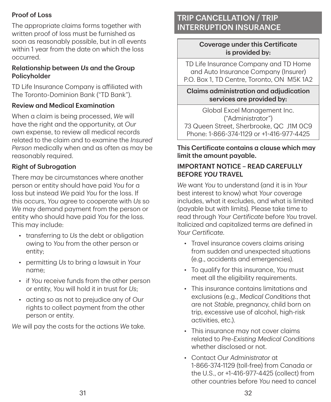### Proof of Loss

The appropriate claims forms together with written proof of loss must be furnished as soon as reasonably possible, but in all events within 1 year from the date on which the loss occurred.

#### Relationship between *Us* and the Group Policyholder

TD Life Insurance Company is affiliated with The Toronto‑Dominion Bank ("TD Bank").

#### Review and Medical Examination

When a claim is being processed, *We* will have the right and the opportunity, at *Our* own expense, to review all medical records related to the claim and to examine the *Insured Person* medically when and as often as may be reasonably required.

### Right of Subrogation

There may be circumstances where another person or entity should have paid *You* for a loss but instead *We* paid *You* for the loss. If this occurs, *You* agree to cooperate with *Us* so *We* may demand payment from the person or entity who should have paid *You* for the loss. This may include:

- transferring to *Us* the debt or obligation owing to *You* from the other person or entity;
- permitting *Us* to bring a lawsuit in *Your* name;
- if *You* receive funds from the other person or entity, *You* will hold it in trust for *Us*;
- acting so as not to prejudice any of *Our* rights to collect payment from the other person or entity.

*We* will pay the costs for the actions *We* take.

# TRIP CANCELLATION / TRIP INTERRUPTION INSURANCE

#### Coverage under this Certificate is provided by:

TD Life Insurance Company and TD Home and Auto Insurance Company (Insurer) P.O. Box 1, TD Centre, Toronto, ON M5K 1A2

Claims administration and adjudication services are provided by:

Global Excel Management Inc. ("Administrator") 73 Queen Street, Sherbrooke, QC J1M 0C9 Phone: 1‑866‑374‑1129 or +1‑416‑977‑4425

#### This Certificate contains a clause which may limit the amount payable.

#### IMPORTANT NOTICE – READ CAREFULLY BEFORE *YOU* TRAVEL

*We* want *You* to understand (and it is in *Your* best interest to know) what *Your* coverage includes, what it excludes, and what is limited (payable but with limits). Please take time to read through *Your Certificate* before *You* travel. Italicized and capitalized terms are defined in *Your Certificate*.

- Travel insurance covers claims arising from sudden and unexpected situations (e.g., accidents and emergencies).
- To qualify for this insurance, *You* must meet all the eligibility requirements.
- This insurance contains limitations and exclusions (e.g., *Medical Conditions* that are not *Stable*, pregnancy, child born on trip, excessive use of alcohol, high-risk activities, etc.).
- This insurance may not cover claims related to *Pre‑Existing Medical Conditions* whether disclosed or not.
- Contact *Our Administrator* at 1‑866‑374‑1129 (toll‑free) from Canada or the U.S., or +1‑416‑977‑4425 (collect) from other countries before *You* need to cancel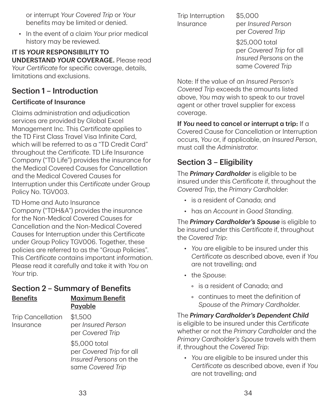or interrupt *Your Covered Trip* or *Your* benefits may be limited or denied.

• In the event of a claim *Your* prior medical history may be reviewed.

IT IS *YOUR* RESPONSIBILITY TO UNDERSTAND *YOUR* COVERAGE. Please read *Your Certificate* for specific coverage, details, limitations and exclusions.

# Section 1 – Introduction

#### Certificate of Insurance

Claims administration and adjudication services are provided by Global Excel Management Inc. This *Certificate* applies to the TD First Class Travel Visa Infinite Card, which will be referred to as a "TD Credit Card" throughout the *Certificate*. TD Life Insurance Company ("TD Life") provides the insurance for the Medical Covered Causes for Cancellation and the Medical Covered Causes for Interruption under this *Certificate* under Group Policy No. TGV003.

TD Home and Auto Insurance Company ("TDH&A") provides the insurance for the Non‑Medical Covered Causes for Cancellation and the Non‑Medical Covered Causes for Interruption under this Certificate under Group Policy TGV006. Together, these policies are referred to as the "Group Policies". This *Certificate* contains important information. Please read it carefully and take it with *You* on *Your* trip.

# Section 2 – Summary of Benefits

#### Benefits Maximum Benefit Payable

Trip Cancellation Insurance

\$1,500 per *Insured Person* per *Covered Trip*

\$5,000 total per *Covered Trip* for all *Insured Persons* on the same *Covered Trip*

Trip Interruption Insurance

\$5,000 per *Insured Person* per *Covered Trip*

\$25,000 total per *Covered Trip* for all *Insured Persons* on the same *Covered Trip*

Note: If the value of an *Insured Person's Covered Trip* exceeds the amounts listed above, *You* may wish to speak to our travel agent or other travel supplier for excess coverage.

#### If *You* need to cancel or interrupt a trip: If a Covered Cause for Cancellation or Interruption occurs, *You* or, if applicable, an *Insured Person*, must call the *Administrator*.

# Section 3 – Eligibility

The *Primary Cardholder* is eligible to be insured under this *Certificate* if, throughout the *Covered Trip*, the *Primary Cardholder*:

- is a resident of Canada; and
- has an *Account* in *Good Standing*.

The *Primary Cardholder's Spouse* is eligible to be insured under this *Certificate* if, throughout the *Covered Trip*:

- *You* are eligible to be insured under this *Certificate* as described above, even if *You* are not travelling; and
- the *Spouse*:
	- is a resident of Canada; and
	- continues to meet the definition of *Spouse* of the *Primary Cardholder*.

The *Primary Cardholder's Dependent Child* is eligible to be insured under this *Certificate* whether or not the *Primary Cardholde*r and the *Primary Cardholder's Spouse* travels with them if, throughout the *Covered Trip*:

• *You* are eligible to be insured under this *Certificate* as described above, even if *You* are not travelling; and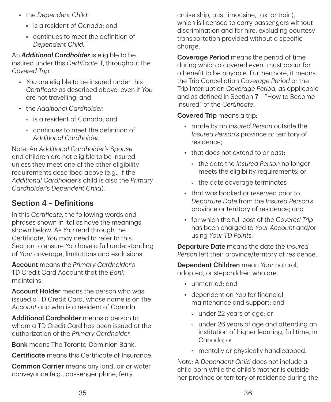- the *Dependent Child*:
	- is a resident of Canada; and
	- continues to meet the definition of *Dependent Child*.

An *Additional Cardholder* is eligible to be insured under this *Certificate* if, throughout the *Covered Trip*:

- *You* are eligible to be insured under this *Certificate* as described above, even if *You* are not travelling; and
- the *Additional Cardholder*:
	- is a resident of Canada; and
	- continues to meet the definition of *Additional Cardholder*.

Note: An *Additional Cardholder's Spouse* and children are not eligible to be insured. unless they meet one of the other eligibility requirements described above (e.g., if the *Additional Cardholder's* child is also the *Primary Cardholder's Dependent Child*).

# Section 4 – Definitions

In this *Certificate*, the following words and phrases shown in italics have the meanings shown below. As *You* read through the Certificate, *You* may need to refer to this Section to ensure *You* have a full understanding of *Your* coverage, limitations and exclusions.

Account means the *Primary Cardholder's* TD Credit Card Account that the *Bank* maintains.

Account Holder means the person who was issued a TD Credit Card, whose name is on the *Account* and who is a resident of Canada.

Additional Cardholder means a person to whom a TD Credit Card has been issued at the authorization of the *Primary Cardholder*.

**Bank** means The Toronto-Dominion Bank.

Certificate means this Certificate of Insurance.

Common Carrier means any land, air or water conveyance (e.g., passenger plane, ferry,

cruise ship, bus, limousine, taxi or train), which is licensed to carry passengers without discrimination and for hire, excluding courtesy transportation provided without a specific charge.

Coverage Period means the period of time during which a covered event must occur for a benefit to be payable. Furthermore, it means the Trip Cancellation *Coverage Period* or the Trip Interruption *Coverage Period*, as applicable and as defined in Section 7 – "How to Become Insured" of the *Certificate*.

### Covered Trip means a trip:

- made by an *Insured Person* outside the *Insured Person's* province or territory of residence;
- that does not extend to or past:
	- the date the *Insured Person* no longer meets the eligibility requirements; or
	- the date coverage terminates
- that was booked or reserved prior to *Departure Date* from the *Insured Person's* province or territory of residence; and
- for which the full cost of the *Covered Trip* has been charged to *Your Account* and/or using *Your TD Points*.

Departure Date means the date the *Insured Person* left their province/territory of residence.

Dependent Children mean *Your* natural, adopted, or stepchildren who are:

- unmarried; and
- dependent on *You* for financial maintenance and support; and
	- under 22 years of age; or
	- under 26 years of age and attending an institution of higher learning, full time, in Canada; or
	- mentally or physically handicapped.

Note: A *Dependent Child* does not include a child born while the child's mother is outside her province or territory of residence during the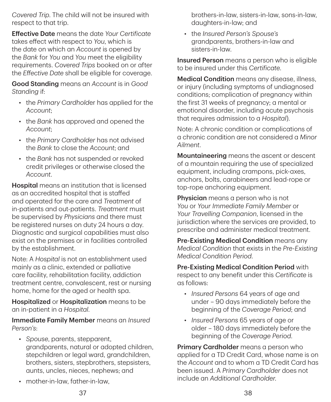*Covered Trip*. The child will not be insured with respect to that trip.

Effective Date means the date *Your Certificate* takes effect with respect to *You*, which is the date on which an *Account* is opened by the *Bank* for *You* and *You* meet the eligibility requirements. *Covered Trips* booked on or after the *Effective Date* shall be eligible for coverage.

Good Standing means an *Account* is in *Good Standing* if:

- the *Primary Cardhold*er has applied for the *Account*;
- the *Bank* has approved and opened the *Account*;
- the *Primary Cardholder* has not advised the *Bank* to close the *Account*; and
- the *Bank* has not suspended or revoked credit privileges or otherwise closed the *Account*.

Hospital means an institution that is licensed as an accredited hospital that is staffed and operated for the care and *Treatment* of in‑patients and out‑patients. *Treatment* must be supervised by *Physicians* and there must be registered nurses on duty 24 hours a day. Diagnostic and surgical capabilities must also exist on the premises or in facilities controlled by the establishment.

Note: A *Hospital* is not an establishment used mainly as a clinic, extended or palliative care facility, rehabilitation facility, addiction treatment centre, convalescent, rest or nursing home, home for the aged or health spa.

Hospitalized or Hospitalization means to be an in‑patient in a *Hospital*.

Immediate Family Member means an *Insured Person's*:

- *Spouse*, parents, stepparent, grandparents, natural or adopted children, stepchildren or legal ward, grandchildren, brothers, sisters, stepbrothers, stepsisters, aunts, uncles, nieces, nephews; and
- mother-in-law, father-in-law,

brothers‑in‑law, sisters‑in‑law, sons‑in‑law, daughters‑in‑law; and

• the *Insured Person's Spouse's* grandparents, brothers‑in‑law and sisters‑in‑law.

Insured Person means a person who is eligible to be insured under this *Certificate*.

Medical Condition means any disease, illness, or injury (including symptoms of undiagnosed conditions; complication of pregnancy within the first 31 weeks of pregnancy; a mental or emotional disorder, including acute psychosis that requires admission to a *Hospital*).

Note: A chronic condition or complications of a chronic condition are not considered a *Minor Ailment*.

Mountaineering means the ascent or descent of a mountain requiring the use of specialized equipment, including crampons, pick‑axes, anchors, bolts, carabineers and lead‑rope or top-rope anchoring equipment.

Physician means a person who is not *You* or *Your Immediate Family Member* or *Your Travelling Companion*, licensed in the jurisdiction where the services are provided, to prescribe and administer medical treatment.

Pre-Existing Medical Condition means any *Medical Condition* that exists in the *Pre‑Existing Medical Condition Period*.

Pre‑Existing Medical Condition Period with respect to any benefit under this *Certificate* is as follows:

- *Insured Persons* 64 years of age and under – 90 days immediately before the beginning of the *Coverage Period*; and
- *Insured Persons* 65 years of age or older – 180 days immediately before the beginning of the *Coverage Period*.

**Primary Cardholder** means a person who applied for a TD Credit Card, whose name is on the *Account* and to whom a TD Credit Card has been issued. A *Primary Cardholder* does not include an *Additional Cardholder*.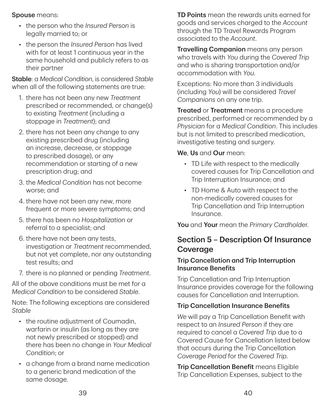Spouse means:

- the person who the *Insured Person* is legally married to; or
- the person the *Insured Person* has lived with for at least 1 continuous year in the same household and publicly refers to as their partner

Stable: a *Medical Condition*, is considered *Stable* when all of the following statements are true:

- 1. there has not been any new *Treatment* prescribed or recommended, or change(s) to existing *Treatment* (including a stoppage in *Treatment*); and
- 2. there has not been any change to any existing prescribed drug (including an increase, decrease, or stoppage to prescribed dosage), or any recommendation or starting of a new prescription drug; and
- 3. the *Medical Condition* has not become worse; and
- 4. there have not been any new, more frequent or more severe symptoms; and
- 5. there has been no *Hospitalization* or referral to a specialist; and
- 6. there have not been any tests, investigation or *Treatment* recommended, but not yet complete, nor any outstanding test results; and
- 7. there is no planned or pending *Treatment*.

All of the above conditions must be met for a *Medical Condition* to be considered *Stable*.

Note: The following exceptions are considered *Stable*

- the routine adjustment of Coumadin, warfarin or insulin (as long as they are not newly prescribed or stopped) and there has been no change in *Your Medical Condition*; or
- a change from a brand name medication to a generic brand medication of the same dosage.

TD Points mean the rewards units earned for goods and services charged to the *Account* through the TD Travel Rewards Program associated to the *Account*.

Travelling Companion means any person who travels with *You* during the *Covered Trip* and who is sharing transportation and/or accommodation with *You*.

Exceptions: No more than 3 individuals (including *You*) will be considered *Travel Companions* on any one trip.

**Treated or Treatment** means a procedure prescribed, performed or recommended by a *Physician* for a *Medical Condition*. This includes but is not limited to prescribed medication, investigative testing and surgery.

We, Us and Our mean:

- TD Life with respect to the medically covered causes for Trip Cancellation and Trip Interruption Insurance; and
- TD Home & Auto with respect to the non‑medically covered causes for Trip Cancellation and Trip Interruption Insurance.

You and Your mean the *Primary Cardholde*r.

# Section 5 – Description Of Insurance Coverage

#### Trip Cancellation and Trip Interruption Insurance Benefits

Trip Cancellation and Trip Interruption Insurance provides coverage for the following causes for Cancellation and Interruption.

### Trip Cancellation Insurance Benefits

*We* will pay a Trip Cancellation Benefit with respect to an *Insured Person* if they are required to cancel a *Covered Trip* due to a Covered Cause for Cancellation listed below that occurs during the Trip Cancellation *Coverage Period* for the *Covered Trip*.

Trip Cancellation Benefit means Eligible Trip Cancellation Expenses, subject to the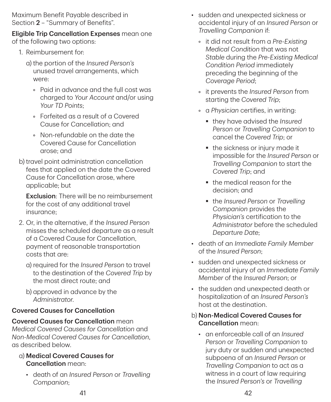Maximum Benefit Payable described in Section 2 – "Summary of Benefits".

#### Eligible Trip Cancellation Expenses mean one of the following two options:

- 1. Reimbursement for:
	- a) the portion of the *Insured Person's* unused travel arrangements, which were:
		- Paid in advance and the full cost was charged to *Your Account* and/or using *Your TD Points*;
		- Forfeited as a result of a Covered Cause for Cancellation; and
		- Non‑refundable on the date the Covered Cause for Cancellation arose; and
- b) travel point administration cancellation fees that applied on the date the Covered Cause for Cancellation arose, where applicable; but

Exclusion: There will be no reimbursement for the cost of any additional travel insurance;

- 2. Or, in the alternative, if the *Insured Person* misses the scheduled departure as a result of a Covered Cause for Cancellation, payment of reasonable transportation costs that are:
	- a) required for the *Insured Person* to travel to the destination of the *Covered Trip* by the most direct route; and
	- b) approved in advance by the *Administrator*.

### Covered Causes for Cancellation

#### Covered Causes for Cancellation mean

*Medical Covered Causes for Cancellation* and *Non‑Medical Covered Causes for Cancellation*, as described below.

- a) Medical Covered Causes for Cancellation mean:
	- death of an *Insured Person* or *Travelling Companion*;
- sudden and unexpected sickness or accidental injury of an *Insured Person* or *Travelling Companion* if:
	- it did not result from a *Pre‑Existing Medical Condition* that was not *Stable* during the *Pre‑Existing Medical Condition Period* immediately preceding the beginning of the *Coverage Period*;
	- it prevents the *Insured Person* from starting the *Covered Trip*;
	- a *Physician* certifies, in writing:
		- they have advised the *Insured Person* or *Travelling Companion* to cancel the *Covered Trip*; or
		- the sickness or injury made it impossible for the *Insured Person* or *Travelling Companion* to start the *Covered Trip*; and
		- the medical reason for the decision; and
		- the *Insured Person* or *Travelling Companion* provides the *Physician's* certification to the *Administrator* before the scheduled *Departure Date*;
- death of an *Immediate Family Member* of the *Insured Person*;
- sudden and unexpected sickness or accidental injury of an *Immediate Family Member* of the *Insured Person*; or
- the sudden and unexpected death or hospitalization of an *Insured Person's* host at the destination.
- b) Non‑Medical Covered Causes for Cancellation mean:
	- an enforceable call of an *Insured Person* or *Travelling Companion* to jury duty or sudden and unexpected subpoena of an *Insured Person* or *Travelling Companion* to act as a witness in a court of law requiring the *Insured Person's* or *Travelling*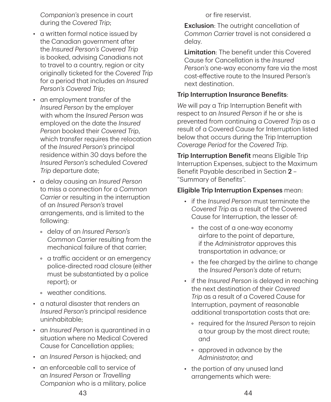*Companion's* presence in court during the *Covered Trip*;

- a written formal notice issued by the Canadian government after the *Insured Person's Covered Trip* is booked, advising Canadians not to travel to a country, region or city originally ticketed for the *Covered Trip* for a period that includes an *Insured Person's Covered Trip*;
- an employment transfer of the *Insured Person* by the employer with whom the *Insured Person* was employed on the date the *Insured Person* booked their *Covered Trip*, which transfer requires the relocation of the *Insured Person's* principal residence within 30 days before the *Insured Person's* scheduled *Covered Trip* departure date;
- a delay causing an *Insured Person* to miss a connection for a *Common Carrier* or resulting in the interruption of an *Insured Person's* travel arrangements, and is limited to the following:
	- delay of an *Insured Person's Common Carrier* resulting from the mechanical failure of that carrier;
	- a traffic accident or an emergency police‑directed road closure (either must be substantiated by a police report); or
	- weather conditions.
- a natural disaster that renders an *Insured Person's* principal residence uninhabitable;
- an *Insured Person* is quarantined in a situation where no Medical Covered Cause for Cancellation applies;
- an *Insured Person* is hijacked; and
- an enforceable call to service of an *Insured Person* or *Travelling Companion* who is a military, police

or fire reservist.

**Exclusion:** The outright cancellation of *Common Carrier* travel is not considered a delay.

Limitation: The benefit under this Covered Cause for Cancellation is the *Insured Person's* one‑way economy fare via the most cost‑effective route to the Insured Person's next destination.

#### Trip Interruption Insurance Benefits:

*We* will pay a Trip Interruption Benefit with respect to an *Insured Person* if he or she is prevented from continuing a *Covered Trip* as a result of a Covered Cause for Interruption listed below that occurs during the Trip Interruption *Coverage Period* for the *Covered Trip*.

**Trip Interruption Benefit means Eligible Trip** Interruption Expenses, subject to the Maximum Benefit Payable described in Section 2 -"Summary of Benefits".

#### Eligible Trip Interruption Expenses mean:

- if the *Insured Person* must terminate the *Covered Trip* as a result of the Covered Cause for Interruption, the lesser of:
	- the cost of a one-way economy airfare to the point of departure, if the *Administrator* approves this transportation in advance; or
	- the fee charged by the airline to change the *Insured Person's* date of return;
- if the *Insured Person* is delayed in reaching the next destination of their *Covered Trip* as a result of a Covered Cause for Interruption, payment of reasonable additional transportation costs that are:
	- required for the *Insured Person* to rejoin a tour group by the most direct route; and
	- approved in advance by the *Administrator*; and
- the portion of any unused land arrangements which were: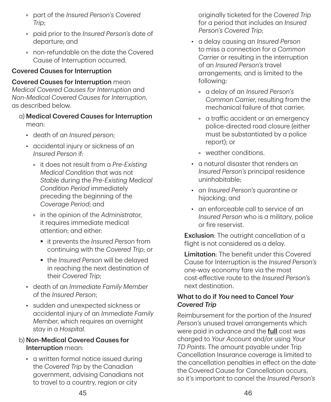- part of the *Insured Person's Covered Trip*;
- paid prior to the *Insured Person's* date of departure; and
- non‑refundable on the date the Covered Cause of Interruption occurred.

#### Covered Causes for Interruption

#### Covered Causes for Interruption mean

*Medical Covered Causes for Interruption* and *Non‑Medical Covered Causes for Interruption*, as described below.

### a) Medical Covered Causes for Interruption

mean:

- death of an *Insured person*;
- accidental injury or sickness of an *Insured Person* if:
	- it does not result from a *Pre‑Existing Medical Condition* that was not *Stable* during the *Pre‑Existing Medical Condition Period* immediately preceding the beginning of the *Coverage Period*; and
	- in the opinion of the *Administrator*, it requires immediate medical attention; and either:
		- it prevents the *Insured Person* from continuing with the *Covered Trip*; or
		- the *Insured Person* will be delayed in reaching the next destination of their *Covered Trip*;
- death of an *Immediate Family Member* of the *Insured Person*;
- sudden and unexpected sickness or accidental injury of an *Immediate Family Member*, which requires an overnight stay in a *Hospital*.

#### b) Non‑Medical Covered Causes for Interruption mean:

• a written formal notice issued during the *Covered Trip* by the Canadian government, advising Canadians not to travel to a country, region or city

originally ticketed for the *Covered Trip* for a period that includes an *Insured Person's Covered Trip*;

- a delay causing an *Insured Person* to miss a connection for a *Common Carrier* or resulting in the interruption of an *Insured Person's* travel arrangements, and is limited to the following:
	- a delay of an *Insured Person's Common Carrier*, resulting from the mechanical failure of that carrier;
	- a traffic accident or an emergency police‑directed road closure (either must be substantiated by a police report); or
	- weather conditions.
- a natural disaster that renders an *Insured Person's* principal residence uninhabitable;
- an *Insured Person's* quarantine or hijacking; and
- an enforceable call to service of an *Insured Person* who is a military, police or fire reservist.

Exclusion: The outright cancellation of a flight is not considered as a delay.

Limitation: The benefit under this Covered Cause for Interruption is the *Insured Person's* one‑way economy fare via the most cost‑effective route to the *Insured Person's* next destination.

#### What to do if *You* need to Cancel *Your Covered Trip*

Reimbursement for the portion of the *Insured Person's* unused travel arrangements which were paid in advance and the **full** cost was charged to *Your Account* and/or using *Your TD Points*. The amount payable under Trip Cancellation Insurance coverage is limited to the cancellation penalties in effect on the date the Covered Cause for Cancellation occurs, so it's important to cancel the *Insured Person's*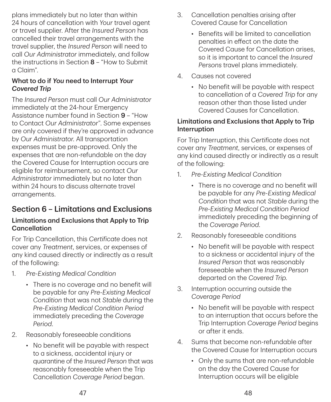plans immediately but no later than within 24 hours of cancellation with *Your* travel agent or travel supplier. After the *Insured Person* has cancelled their travel arrangements with the travel supplier, the *Insured Person* will need to call *Our Administrator* immediately, and follow the instructions in Section 8 – "How to Submit a Claim".

#### What to do if *You* need to Interrupt *Your Covered Trip*

The *Insured Person* must call *Our Administrator* immediately at the 24‑hour Emergency Assistance number found in Section 9 - "How to Contact *Our Administrator*". Some expenses are only covered if they're approved in advance by *Our Administrator*. All transportation expenses must be pre‑approved. Only the expenses that are non‑refundable on the day the Covered Cause for Interruption occurs are eligible for reimbursement, so contact *Our Administrator* immediately but no later than within 24 hours to discuss alternate travel arrangements.

# Section 6 – Limitations and Exclusions

#### Limitations and Exclusions that Apply to Trip Cancellation

For Trip Cancellation, this *Certificate* does not cover any *Treatment*, services, or expenses of any kind caused directly or indirectly as a result of the following:

- 1. *Pre‑Existing Medical Condition*
	- There is no coverage and no benefit will be payable for any *Pre‑Existing Medical Condition* that was not *Stable* during the *Pre‑Existing Medical Condition Period* immediately preceding the *Coverage Period*.
- 2. Reasonably foreseeable conditions
	- No benefit will be payable with respect to a sickness, accidental injury or quarantine of the *Insured Person* that was reasonably foreseeable when the Trip Cancellation *Coverage Period* began.
- 3. Cancellation penalties arising after Covered Cause for Cancellation
	- Benefits will be limited to cancellation penalties in effect on the date the Covered Cause for Cancellation arises, so it is important to cancel the *Insured Persons* travel plans immediately.
- 4. Causes not covered
	- No benefit will be payable with respect to cancellation of a *Covered Trip* for any reason other than those listed under Covered Causes for Cancellation.

#### Limitations and Exclusions that Apply to Trip Interruption

For Trip Interruption, this *Certificate* does not cover any *Treatment*, services, or expenses of any kind caused directly or indirectly as a result of the following:

- 1. *Pre‑Existing Medical Condition*
	- There is no coverage and no benefit will be payable for any *Pre‑Existing Medical Condition* that was not *Stable* during the *Pre‑Existing Medical Condition Period* immediately preceding the beginning of the *Coverage Period*.
- 2. Reasonably foreseeable conditions
	- No benefit will be payable with respect to a sickness or accidental injury of the *Insured Person* that was reasonably foreseeable when the *Insured Person* departed on the *Covered Trip*.
- 3. Interruption occurring outside the *Coverage Period*
	- No benefit will be payable with respect to an interruption that occurs before the Trip Interruption *Coverage Period* begins or after it ends.
- 4. Sums that become non‑refundable after the Covered Cause for Interruption occurs
	- Only the sums that are non-refundable on the day the Covered Cause for Interruption occurs will be eligible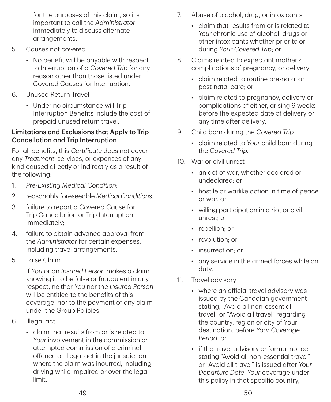for the purposes of this claim, so it's important to call the *Administrator* immediately to discuss alternate arrangements.

- 5. Causes not covered
	- No benefit will be payable with respect to Interruption of a *Covered Trip* for any reason other than those listed under Covered Causes for Interruption.
- 6. Unused Return Travel
	- Under no circumstance will Trip Interruption Benefits include the cost of prepaid unused return travel.

#### Limitations and Exclusions that Apply to Trip Cancellation and Trip Interruption

For all benefits, this *Certificate* does not cover any *Treatment*, services, or expenses of any kind caused directly or indirectly as a result of the following:

- 1. *Pre‑Existing Medical Condition*;
- 2. reasonably foreseeable *Medical Conditions*;
- 3. failure to report a Covered Cause for Trip Cancellation or Trip Interruption immediately;
- 4. failure to obtain advance approval from the *Administrator* for certain expenses, including travel arrangements.
- 5. False Claim

If *You* or an *Insured Person* makes a claim knowing it to be false or fraudulent in any respect, neither *You* nor the *Insured Person* will be entitled to the benefits of this coverage, nor to the payment of any claim under the Group Policies.

- 6. Illegal act
	- claim that results from or is related to *Your* involvement in the commission or attempted commission of a criminal offence or illegal act in the jurisdiction where the claim was incurred, including driving while impaired or over the legal limit.
- 7. Abuse of alcohol, drug, or intoxicants
	- claim that results from or is related to *Your* chronic use of alcohol, drugs or other intoxicants whether prior to or during *Your Covered Trip*; or
- 8. Claims related to expectant mother's complications of pregnancy, or delivery
	- claim related to routine pre-natal or post‑natal care; or
	- claim related to pregnancy, delivery or complications of either, arising 9 weeks before the expected date of delivery or any time after delivery.
- 9. Child born during the *Covered Trip*
	- claim related to *Your* child born during the *Covered Trip*.
- 10. War or civil unrest
	- an act of war, whether declared or undeclared; or
	- hostile or warlike action in time of peace or war; or
	- willing participation in a riot or civil unrest; or
	- rebellion: or
	- revolution: or
	- insurrection; or
	- any service in the armed forces while on duty.
- 11. Travel advisory
	- where an official travel advisory was issued by the Canadian government stating, "Avoid all non‑essential travel" or "Avoid all travel" regarding the country, region or city of Your destination, before *Your Coverage Period*; or
	- if the travel advisory or formal notice stating "Avoid all non‑essential travel" or "Avoid all travel" is issued after *Your Departure Date*, *Your* coverage under this policy in that specific country,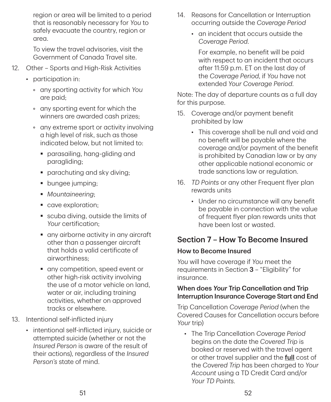region or area will be limited to a period that is reasonably necessary for *You* to safely evacuate the country, region or area.

To view the travel advisories, visit the Government of Canada Travel site.

- 12. Other Sports and High-Risk Activities
	- participation in:
		- any sporting activity for which *You* are paid;
		- any sporting event for which the winners are awarded cash prizes;
		- any extreme sport or activity involving a high level of risk, such as those indicated below, but not limited to:
			- parasailing, hang-gliding and paragliding;
			- **•** parachuting and sky diving;
			- **bungee** jumping:
			- *Mountaineering*;
			- cave exploration;
			- scuba diving, outside the limits of *Your* certification;
			- any airborne activity in any aircraft other than a passenger aircraft that holds a valid certificate of airworthiness;
			- any competition, speed event or other high-risk activity involving the use of a motor vehicle on land, water or air, including training activities, whether on approved tracks or elsewhere.
- 13. Intentional self‑inflicted injury
	- intentional self-inflicted injury, suicide or attempted suicide (whether or not the *Insured Person* is aware of the result of their actions), regardless of the *Insured Person's* state of mind.
- 14. Reasons for Cancellation or Interruption occurring outside the *Coverage Period*
	- an incident that occurs outside the *Coverage Period*.

For example, no benefit will be paid with respect to an incident that occurs after 11:59 p.m. ET on the last day of the *Coverage Period*, if *You* have not extended *Your Coverage Period*.

Note: The day of departure counts as a full day for this purpose.

- 15. Coverage and/or payment benefit prohibited by law
	- This coverage shall be null and void and no benefit will be payable where the coverage and/or payment of the benefit is prohibited by Canadian law or by any other applicable national economic or trade sanctions law or regulation.
- 16. *TD Points* or any other Frequent flyer plan rewards units
	- Under no circumstance will any benefit be payable in connection with the value of frequent flyer plan rewards units that have been lost or wasted.

# Section 7 – How To Become Insured

# How to Become Insured

*You* will have coverage if *You* meet the requirements in Section 3 – "Eligibility" for insurance.

#### When does *Your* Trip Cancellation and Trip Interruption Insurance Coverage Start and End

Trip Cancellation *Coverage Period* (when the Covered Causes for Cancellation occurs before *Your* trip)

• The Trip Cancellation *Coverage Period* begins on the date the *Covered Trip* is booked or reserved with the travel agent or other travel supplier and the **full** cost of the *Covered Trip* has been charged to *Your Account* using a TD Credit Card and/or *Your TD Points*.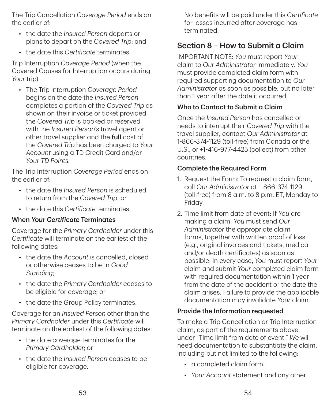The Trip Cancellation *Coverage Period* ends on the earlier of:

- the date the *Insured Person* departs or plans to depart on the *Covered Trip*; and
- the date this *Certificate* terminates.

Trip Interruption *Coverage Period* (when the Covered Causes for Interruption occurs during *Your* trip)

• The Trip Interruption *Coverage Period* begins on the date the *Insured Person* completes a portion of the *Covered Trip* as shown on their invoice or ticket provided the *Covered Trip* is booked or reserved with the *Insured Person's* travel agent or other travel supplier and the **full** cost of the *Covered Trip* has been charged to *Your Account* using a TD Credit Card and/or *Your TD Points*.

The Trip Interruption *Coverage Period* ends on the earlier of:

- the date the *Insured Person* is scheduled to return from the *Covered Trip*; or
- the date this *Certificate* terminates.

#### When *Your Certificate* Terminates

Coverage for the *Primary Cardholder* under this *Certificate* will terminate on the earliest of the following dates:

- the date the *Account* is cancelled, closed or otherwise ceases to be in *Good Standing*;
- the date the *Primary Cardholder* ceases to be eligible for coverage; or
- the date the Group Policy terminates.

Coverage for an *Insured Person* other than the *Primary Cardholder* under this *Certificate* will terminate on the earliest of the following dates:

- the date coverage terminates for the *Primary Cardholder*; or
- the date the *Insured Person* ceases to be eligible for coverage.

No benefits will be paid under this *Certificate* for losses incurred after coverage has terminated.

# Section 8 – How to Submit a Claim

IMPORTANT NOTE: *You* must report *Your* claim to *Our Administrator* immediately. *You* must provide completed claim form with required supporting documentation to *Our Administrator* as soon as possible, but no later than 1 year after the date it occurred.

#### Who to Contact to Submit a Claim

Once the *Insured Person* has cancelled or needs to interrupt their *Covered Trip* with the travel supplier, contact *Our Administrator* at 1‑866‑374‑1129 (toll‑free) from Canada or the U.S., or +1‑416‑977‑4425 (collect) from other countries.

#### Complete the Required Form

- 1. Request the Form: To request a claim form, call *Our Administrator* at 1‑866‑374‑1129 (toll‑free) from 8 a.m. to 8 p.m. ET, Monday to Friday.
- 2. Time limit from date of event: If *You* are making a claim, *You* must send *Our Administrator* the appropriate claim forms, together with written proof of loss (e.g., original invoices and tickets, medical and/or death certificates) as soon as possible. In every case, *You* must report *Your* claim and submit *Your* completed claim form with required documentation within 1 year from the date of the accident or the date the claim arises. Failure to provide the applicable documentation may invalidate *Your* claim.

#### Provide the Information requested

To make a Trip Cancellation or Trip Interruption claim, as part of the requirements above, under "Time limit from date of event," *We* will need documentation to substantiate the claim, including but not limited to the following:

- a completed claim form;
- *Your Account* statement and any other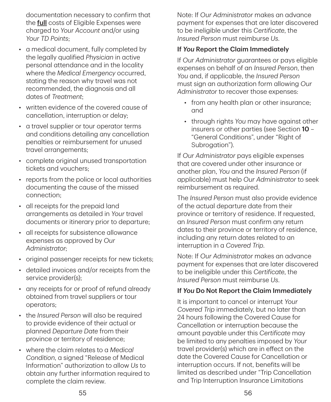documentation necessary to confirm that the **full** costs of Eligible Expenses were charged to *Your Account* and/or using *Your TD Points*;

- a medical document, fully completed by the legally qualified *Physician* in active personal attendance and in the locality where the *Medical Emergency* occurred, stating the reason why travel was not recommended, the diagnosis and all dates of *Treatment*;
- written evidence of the covered cause of cancellation, interruption or delay;
- a travel supplier or tour operator terms and conditions detailing any cancellation penalties or reimbursement for unused travel arrangements;
- complete original unused transportation tickets and vouchers;
- reports from the police or local authorities documenting the cause of the missed connection;
- all receipts for the prepaid land arrangements as detailed in *Your* travel documents or itinerary prior to departure;
- all receipts for subsistence allowance expenses as approved by *Our Administrator*;
- original passenger receipts for new tickets;
- detailed invoices and/or receipts from the service provider(s);
- any receipts for or proof of refund already obtained from travel suppliers or tour operators;
- the *Insured Person* will also be required to provide evidence of their actual or planned *Departure Date* from their province or territory of residence;
- where the claim relates to a *Medical Condition*, a signed "Release of Medical Information" authorization to allow *Us* to obtain any further information required to complete the claim review.

Note: If *Our Administrator* makes an advance payment for expenses that are later discovered to be ineligible under this *Certificate*, the *Insured Person* must reimburse *Us*.

#### If *You* Report the Claim Immediately

If *Our Administrator* guarantees or pays eligible expenses on behalf of an *Insured Person*, then *You* and, if applicable, the *Insured Person* must sign an authorization form allowing *Our Administrator* to recover those expenses:

- from any health plan or other insurance; and
- through rights *You* may have against other insurers or other parties (see Section 10 – "General Conditions", under "Right of Subrogation").

If *Our Administrator* pays eligible expenses that are covered under other insurance or another plan, *You* and the *Insured Person* (if applicable) must help *Our Administrator* to seek reimbursement as required.

The *Insured Person* must also provide evidence of the actual departure date from their province or territory of residence. If requested, an *Insured Person* must confirm any return dates to their province or territory of residence, including any return dates related to an interruption in a *Covered Trip*.

Note: If *Our Administrator* makes an advance payment for expenses that are later discovered to be ineligible under this *Certificate*, the *Insured Person* must reimburse *Us*.

#### If *You* Do Not Report the Claim Immediately

It is important to cancel or interrupt *Your Covered Trip* immediately, but no later than 24 hours following the Covered Cause for Cancellation or interruption because the amount payable under this *Certificate* may be limited to any penalties imposed by *Your* travel provider(s) which are in effect on the date the Covered Cause for Cancellation or interruption occurs. If not, benefits will be limited as described under "Trip Cancellation and Trip Interruption Insurance Limitations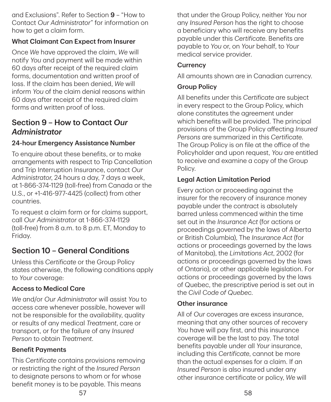and Exclusions". Refer to Section 9 – "How to Contact *Our Administrator*" for information on how to get a claim form.

#### What Claimant Can Expect from Insurer

Once *We* have approved the claim, *We* will notify *You* and payment will be made within 60 days after receipt of the required claim forms, documentation and written proof of loss. If the claim has been denied, *We* will inform *You* of the claim denial reasons within 60 days after receipt of the required claim forms and written proof of loss.

# Section 9 – How to Contact *Our Administrator*

#### 24‑hour Emergency Assistance Number

To enquire about these benefits, or to make arrangements with respect to Trip Cancellation and Trip Interruption Insurance, contact *Our Administrator*, 24 hours a day, 7 days a week, at 1‑866‑374‑1129 (toll‑free) from Canada or the U.S., or +1‑416‑977‑4425 (collect) from other countries.

To request a claim form or for claims support, call *Our Administrator* at 1‑866‑374‑1129 (toll‑free) from 8 a.m. to 8 p.m. ET, Monday to Friday.

# Section 10 – General Conditions

Unless this *Certificate* or the Group Policy states otherwise, the following conditions apply to *Your* coverage:

#### Access to Medical Care

*We* and/or *Our Administrator* will assist *You* to access care whenever possible, however will not be responsible for the availability, quality or results of any medical *Treatment*, care or transport, or for the failure of any *Insured Person* to obtain *Treatment*.

#### Benefit Payments

This *Certificate* contains provisions removing or restricting the right of the *Insured Person* to designate persons to whom or for whose benefit money is to be payable. This means

that under the Group Policy, neither *You* nor any *Insured Person* has the right to choose a beneficiary who will receive any benefits payable under this *Certificate*. Benefits are payable to *You* or, on *Your* behalf, to *Your* medical service provider.

#### **Currency**

All amounts shown are in Canadian currency.

#### Group Policy

All benefits under this *Certificate* are subject in every respect to the Group Policy, which alone constitutes the agreement under which benefits will be provided. The principal provisions of the Group Policy affecting *Insured Persons* are summarized in this *Certificate*. The Group Policy is on file at the office of the Policyholder and upon request, *You* are entitled to receive and examine a copy of the Group Policy.

#### Legal Action Limitation Period

Every action or proceeding against the insurer for the recovery of insurance money payable under the contract is absolutely barred unless commenced within the time set out in the *Insurance Act* (for actions or proceedings governed by the laws of Alberta or British Columbia), The *Insurance Act* (for actions or proceedings governed by the laws of Manitoba), the *Limitations Act*, 2002 (for actions or proceedings governed by the laws of Ontario), or other applicable legislation. For actions or proceedings governed by the laws of Quebec, the prescriptive period is set out in the *Civil Code of Quebec*.

#### Other insurance

All of *Our* coverages are excess insurance, meaning that any other sources of recovery *You* have will pay first, and this insurance coverage will be the last to pay. The total benefits payable under all *Your* insurance, including this *Certificate*, cannot be more than the actual expenses for a claim. If an *Insured Person* is also insured under any other insurance certificate or policy, *We* will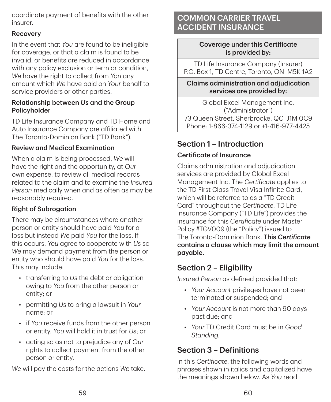coordinate payment of benefits with the other insurer.

#### Recovery

In the event that *You* are found to be ineligible for coverage, or that a claim is found to be invalid, or benefits are reduced in accordance with any policy exclusion or term or condition, *We* have the right to collect from *You* any amount which *We* have paid on *Your* behalf to service providers or other parties.

#### Relationship between *Us* and the Group Policyholder

TD Life Insurance Company and TD Home and Auto Insurance Company are affiliated with The Toronto‑Dominion Bank ("TD Bank").

#### Review and Medical Examination

When a claim is being processed, *We* will have the right and the opportunity, at *Our* own expense, to review all medical records related to the claim and to examine the *Insured Person* medically when and as often as may be reasonably required.

#### Right of Subrogation

There may be circumstances where another person or entity should have paid *You* for a loss but instead *We* paid *You* for the loss. If this occurs, *You* agree to cooperate with *Us* so *We* may demand payment from the person or entity who should have paid *You* for the loss. This may include:

- transferring to *Us* the debt or obligation owing to *You* from the other person or entity; or
- permitting *Us* to bring a lawsuit in *Your* name; or
- if *You* receive funds from the other person or entity, *You* will hold it in trust for *Us*; or
- acting so as not to prejudice any of *Our* rights to collect payment from the other person or entity.

*We* will pay the costs for the actions *We* take.

# COMMON CARRIER TRAVEL ACCIDENT INSURANCE

#### Coverage under this Certificate is provided by:

TD Life Insurance Company (Insurer) P.O. Box 1, TD Centre, Toronto, ON M5K 1A2

Claims administration and adjudication services are provided by:

Global Excel Management Inc. ("Administrator") 73 Queen Street, Sherbrooke, QC J1M 0C9 Phone: 1‑866‑374‑1129 or +1‑416‑977‑4425

# Section 1 – Introduction

### Certificate of Insurance

Claims administration and adjudication services are provided by Global Excel Management Inc. The *Certificate* applies to the TD First Class Travel Visa Infinite Card, which will be referred to as a "TD Credit Card" throughout the *Certificate*. TD Life Insurance Company ("TD Life") provides the insurance for this *Certificate* under Master Policy #TGV009 (the "Policy") issued to The Toronto‑Dominion Bank. This *Certificate* contains a clause which may limit the amount payable.

# Section 2 – Eligibility

*Insured Person* as defined provided that:

- *Your Account* privileges have not been terminated or suspended; and
- *Your Account* is not more than 90 days past due; and
- *Your* TD Credit Card must be in *Good Standing*.

# Section 3 – Definitions

In this *Certificate*, the following words and phrases shown in italics and capitalized have the meanings shown below. As *You* read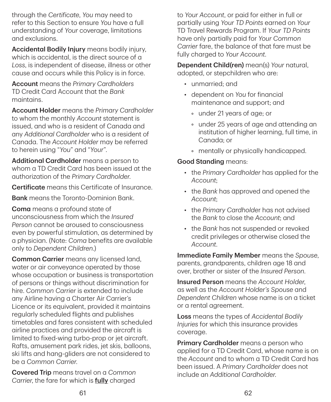through the *Certificate*, *You* may need to refer to this Section to ensure *You* have a full understanding of *Your* coverage, limitations and exclusions.

Accidental Bodily Injury means bodily injury, which is accidental, is the direct source of a *Loss*, is independent of disease, illness or other cause and occurs while this Policy is in force.

Account means the *Primary Cardholders* TD Credit Card Account that the *Bank* maintains.

Account Holder means the *Primary Cardholder* to whom the monthly *Account* statement is issued, and who is a resident of Canada and any *Additional Cardholder* who is a resident of Canada. The *Account Holder* may be referred to herein using "*You*" and "*Your*".

Additional Cardholder means a person to whom a TD Credit Card has been issued at the authorization of the *Primary Cardholder*.

Certificate means this Certificate of Insurance.

**Bank** means the Toronto-Dominion Bank.

Coma means a profound state of unconsciousness from which the *Insured Person* cannot be aroused to consciousness even by powerful stimulation, as determined by a physician. (Note: *Coma* benefits are available only to *Dependent Children*.)

Common Carrier means any licensed land, water or air conveyance operated by those whose occupation or business is transportation of persons or things without discrimination for hire. *Common Carrier* is extended to include any Airline having a Charter Air Carrier's Licence or its equivalent, provided it maintains regularly scheduled flights and publishes timetables and fares consistent with scheduled airline practices and provided the aircraft is limited to fixed-wing turbo-prop or jet aircraft. Rafts, amusement park rides, jet skis, balloons, ski lifts and hang‑gliders are not considered to be a *Common Carrier*.

Covered Trip means travel on a *Common Carrier*, the fare for which is fully charged

to *Your Account*, or paid for either in full or partially using *Your TD Points* earned on *Your* TD Travel Rewards Program. If *Your TD Points* have only partially paid for *Your Common Carrier* fare, the balance of that fare must be fully charged to *Your Account*.

Dependent Child(ren) mean(s) *Your* natural, adopted, or stepchildren who are:

- unmarried; and
- dependent on *You* for financial maintenance and support; and
	- under 21 years of age; or
	- under 25 years of age and attending an institution of higher learning, full time, in Canada; or
	- mentally or physically handicapped.

#### Good Standing means:

- the *Primary Cardholder* has applied for the *Account*;
- the *Bank* has approved and opened the *Account*;
- the *Primary Cardholde*r has not advised the *Bank* to close the *Account*; and
- the *Bank* has not suspended or revoked credit privileges or otherwise closed the *Account*.

Immediate Family Member means the *Spouse*, parents, grandparents, children age 18 and over, brother or sister of the *Insured Person*.

Insured Person means the *Account Holder*, as well as the *Account Holder's Spouse* and *Dependent Children* whose name is on a ticket or a rental agreement.

Loss means the types of *Accidental Bodily Injuries* for which this insurance provides coverage.

Primary Cardholder means a person who applied for a TD Credit Card, whose name is on the *Account* and to whom a TD Credit Card has been issued. A *Primary Cardholder* does not include an *Additional Cardholder*.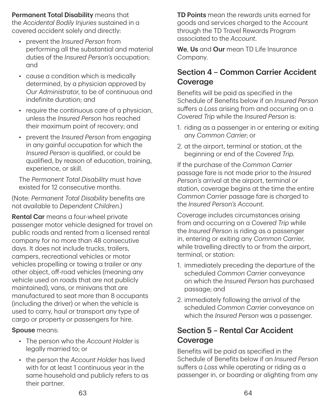Permanent Total Disability means that the *Accidental Bodily Injuries* sustained in a covered accident solely and directly:

- prevent the *Insured Person* from performing all the substantial and material duties of the *Insured Person's* occupation; and
- cause a condition which is medically determined, by a physician approved by *Our Administrator*, to be of continuous and indefinite duration; and
- require the continuous care of a physician, unless the *Insured Person* has reached their maximum point of recovery; and
- prevent the *Insured Person* from engaging in any gainful occupation for which the *Insured Person* is qualified, or could be qualified, by reason of education, training, experience, or skill.

The *Permanent Total Disability* must have existed for 12 consecutive months.

(Note: *Permanent Total Disability* benefits are not available to *Dependent Children*.)

Rental Car means a four-wheel private passenger motor vehicle designed for travel on public roads and rented from a licensed rental company for no more than 48 consecutive days. It does not include trucks, trailers, campers, recreational vehicles or motor vehicles propelling or towing a trailer or any other object, off‑road vehicles (meaning any vehicle used on roads that are not publicly maintained), vans, or minivans that are manufactured to seat more than 8 occupants (including the driver) or when the vehicle is used to carry, haul or transport any type of cargo or property or passengers for hire.

#### Spouse means:

- The person who the *Account Holder* is legally married to; or
- the person the *Account Holder* has lived with for at least 1 continuous year in the same household and publicly refers to as their partner.

TD Points mean the rewards units earned for goods and services charged to the Account through the TD Travel Rewards Program associated to the *Account*.

We, Us and Our mean TD Life Insurance Company.

# Section 4 – Common Carrier Accident **Coverage**

Benefits will be paid as specified in the Schedule of Benefits below if an *Insured Person* suffers a *Loss* arising from and occurring on a *Covered Trip* while the *Insured Person* is:

- 1. riding as a passenger in or entering or exiting any *Common Carrier*; or
- 2. at the airport, terminal or station, at the beginning or end of the *Covered Trip*.

If the purchase of the *Common Carrier* passage fare is not made prior to the *Insured Person's* arrival at the airport, terminal or station, coverage begins at the time the entire *Common Carrier* passage fare is charged to the *Insured Person's Account*.

Coverage includes circumstances arising from and occurring on a *Covered Trip* while the *Insured Person* is riding as a passenger in, entering or exiting any *Common Carrier*, while travelling directly to or from the airport, terminal, or station:

- 1. immediately preceding the departure of the scheduled *Common Carrier* conveyance on which the *Insured Person* has purchased passage; and
- 2. immediately following the arrival of the scheduled *Common Carrier* conveyance on which the *Insured Person* was a passenger.

# Section 5 – Rental Car Accident Coverage

Benefits will be paid as specified in the Schedule of Benefits below if an *Insured Person* suffers a *Loss* while operating or riding as a passenger in, or boarding or alighting from any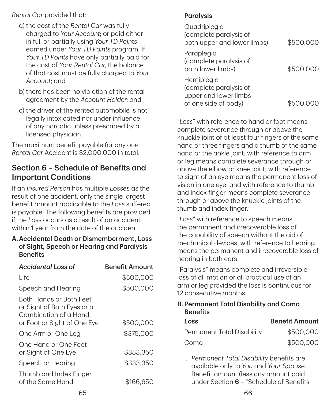#### *Rental Car* provided that:

- a) the cost of the *Rental Car* was fully charged to *Your Account*; or paid either in full or partially using *Your TD Points* earned under *Your TD Points* program. If *Your TD Points* have only partially paid for the cost of *Your Rental Car*, the balance of that cost must be fully charged to *Your Account*; and
- b) there has been no violation of the rental agreement by the *Account Holder*; and
- c) the driver of the rented automobile is not legally intoxicated nor under influence of any narcotic unless prescribed by a licensed physician.

The maximum benefit payable for any one *Rental Car* Accident is \$2,000,000 in total.

# Section 6 – Schedule of Benefits and Important Conditions

If an *Insured Person* has multiple *Losses* as the result of one accident, only the single largest benefit amount applicable to the *Loss* suffered is payable. The following benefits are provided if the *Loss* occurs as a result of an accident within 1 year from the date of the accident:

#### A. Accidental Death or Dismemberment, Loss of Sight, Speech or Hearing and Paralysis **Benefits**

| <b>Accidental Loss of</b>                                                                                             | <b>Benefit Amount</b>  |
|-----------------------------------------------------------------------------------------------------------------------|------------------------|
| l ife                                                                                                                 | \$500,000              |
| Speech and Hearing                                                                                                    | \$500,000              |
| <b>Both Hands or Both Feet</b><br>or Sight of Both Eyes or a<br>Combination of a Hand.<br>or Foot or Sight of One Eye | \$500,000              |
| One Arm or One Leg                                                                                                    | \$375,000              |
| One Hand or One Foot<br>or Sight of One Eye<br>Speech or Hearing                                                      | \$333,350<br>\$333,350 |
|                                                                                                                       |                        |
| Thumb and Index Finger<br>of the Same Hand                                                                            | \$166.650              |

### **Paralysis**

| Quadriplegia<br>(complete paralysis of<br>both upper and lower limbs)                 | \$500,000 |
|---------------------------------------------------------------------------------------|-----------|
| Paraplegia<br>(complete paralysis of<br>both lower limbs)                             | \$500,000 |
| Hemiplegia<br>(complete paralysis of<br>upper and lower limbs<br>of one side of body) |           |

"*Loss*" with reference to hand or foot means complete severance through or above the knuckle joint of at least four fingers of the same hand or three fingers and a thumb of the same hand or the ankle joint; with reference to arm or leg means complete severance through or above the elbow or knee joint; with reference to sight of an eye means the permanent loss of vision in one eye; and with reference to thumb and index finger means complete severance through or above the knuckle joints of the thumb and index finger.

"*Loss*" with reference to speech means the permanent and irrecoverable loss of the capability of speech without the aid of mechanical devices; with reference to hearing means the permanent and irrecoverable loss of hearing in both ears.

"Paralysis" means complete and irreversible loss of all motion or all practical use of an arm or leg provided the loss is continuous for 12 consecutive months.

#### B.Permanent Total Disability and Coma **Benefits**

| Loss                       | <b>Benefit Amount</b> |
|----------------------------|-----------------------|
| Permanent Total Disability | \$500,000             |
| Coma                       | \$500,000             |

i. *Permanent Total Disability* benefits are available only to *You* and *Your Spouse*. Benefit amount (less any amount paid under Section 6 – "Schedule of Benefits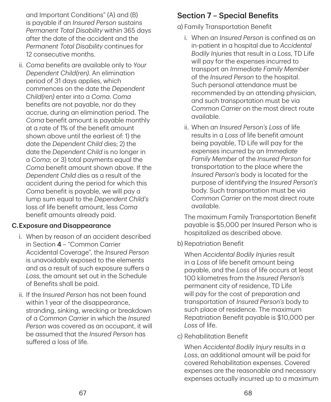and Important Conditions" (A) and (B) is payable if an *Insured Person* sustains *Permanent Total Disability* within 365 days after the date of the accident and the *Permanent Total Disability* continues for 12 consecutive months.

ii. *Coma* benefits are available only to *Your Dependent Child(ren)*. An elimination period of 31 days applies, which commences on the date the *Dependent Child(ren)* enter into a *Coma*. *Coma* benefits are not payable, nor do they accrue, during an elimination period. The *Coma* benefit amount is payable monthly at a rate of 1% of the benefit amount shown above until the earliest of: 1) the date the *Dependent Child* dies; 2) the date the *Dependent Child* is no longer in a *Coma*; or 3) total payments equal the *Coma* benefit amount shown above. If the *Dependent Child* dies as a result of the accident during the period for which this *Coma* benefit is payable, we will pay a lump sum equal to the *Dependent Child's* loss of life benefit amount, less *Coma* benefit amounts already paid.

#### C.Exposure and Disappearance

- i. When by reason of an accident described in Section 4 – "Common Carrier Accidental Coverage", the *Insured Person* is unavoidably exposed to the elements and as a result of such exposure suffers a *Loss*, the amount set out in the Schedule of Benefits shall be paid.
- ii. If the *Insured Person* has not been found within 1 year of the disappearance, stranding, sinking, wrecking or breakdown of a *Common Carrier* in which the *Insured Person* was covered as an occupant, it will be assumed that the *Insured Person* has suffered a loss of life.

# Section 7 – Special Benefits

a) Family Transportation Benefit

- i. When an *Insured Person* is confined as an in‑patient in a hospital due to *Accidental Bodily Injuries* that result in a *Loss*, TD Life will pay for the expenses incurred to transport an *Immediate Family Member* of the *Insured Person* to the hospital. Such personal attendance must be recommended by an attending physician, and such transportation must be via *Common Carrier* on the most direct route available.
- ii. When an *Insured Person's Loss* of life results in a *Loss* of life benefit amount being payable, TD Life will pay for the expenses incurred by an *Immediate Family Member* of the *Insured Person* for transportation to the place where the *Insured Person's* body is located for the purpose of identifying the *Insured Person's* body. Such transportation must be via *Common Carrier* on the most direct route available.

The maximum Family Transportation Benefit payable is \$5,000 per Insured Person who is hospitalized as described above.

b) Repatriation Benefit

When *Accidental Bodily Injuries* result in a *Loss* of life benefit amount being payable, and the *Loss* of life occurs at least 100 kilometres from the *Insured Person's* permanent city of residence, TD Life will pay for the cost of preparation and transportation of *Insured Person's* body to such place of residence. The maximum Repatriation Benefit payable is \$10,000 per *Loss* of life.

c) Rehabilitation Benefit

When *Accidental Bodily Injury* results in a *Loss*, an additional amount will be paid for covered Rehabilitation expenses. Covered expenses are the reasonable and necessary expenses actually incurred up to a maximum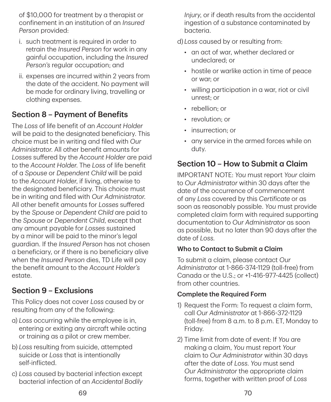of \$10,000 for treatment by a therapist or confinement in an institution of an *Insured Person* provided:

- i. such treatment is required in order to retrain the *Insured Person* for work in any gainful occupation, including the *Insured Person's* regular occupation; and
- ii. expenses are incurred within 2 years from the date of the accident. No payment will be made for ordinary living, travelling or clothing expenses.

# Section 8 – Payment of Benefits

The *Loss* of life benefit of an *Account Holder* will be paid to the designated beneficiary. This choice must be in writing and filed with *Our Administrator*. All other benefit amounts for *Losses* suffered by the *Account Holder* are paid to the *Account Holder*. The *Loss* of life benefit of a *Spouse* or *Dependent Child* will be paid to the *Account Holder*, if living, otherwise to the designated beneficiary. This choice must be in writing and filed with *Our Administrator*. All other benefit amounts for *Losses* suffered by the *Spouse* or *Dependent Child* are paid to the *Spouse* or *Dependent Child*, except that any amount payable for *Losses* sustained by a minor will be paid to the minor's legal guardian. If the *Insured Person* has not chosen a beneficiary, or if there is no beneficiary alive when the *Insured Person* dies, TD Life will pay the benefit amount to the *Account Holder's* estate.

# Section 9 – Exclusions

This Policy does not cover *Loss* caused by or resulting from any of the following:

- a) *Loss* occurring while the employee is in, entering or exiting any aircraft while acting or training as a pilot or crew member.
- b) *Loss* resulting from suicide, attempted suicide or *Loss* that is intentionally self‑inflicted.
- c) *Loss* caused by bacterial infection except bacterial infection of an *Accidental Bodily*

*Injury*, or if death results from the accidental ingestion of a substance contaminated by bacteria.

d) *Loss* caused by or resulting from:

- an act of war, whether declared or undeclared; or
- hostile or warlike action in time of peace or war; or
- willing participation in a war, riot or civil unrest; or
- rebellion: or
- revolution: or
- insurrection; or
- any service in the armed forces while on duty.

# Section 10 – How to Submit a Claim

IMPORTANT NOTE: *You* must report *Your* claim to *Our Administrator* within 30 days after the date of the occurrence of commencement of any *Loss* covered by this *Certificate* or as soon as reasonably possible. *You* must provide completed claim form with required supporting documentation to *Our Administrator* as soon as possible, but no later than 90 days after the date of *Loss*.

#### Who to Contact to Submit a Claim

To submit a claim, please contact *Our Administrator* at 1‑866‑374‑1129 (toll‑free) from Canada or the U.S.; or +1‑416‑977‑4425 (collect) from other countries.

#### Complete the Required Form

- 1) Request the Form: To request a claim form, call *Our Administrator* at 1‑866‑372‑1129 (toll‑free) from 8 a.m. to 8 p.m. ET, Monday to Friday.
- 2) Time limit from date of event: If *You* are making a claim, *You* must report *Your* claim to *Our Administrator* within 30 days after the date of *Loss*. *You* must send *Our Administrator* the appropriate claim forms, together with written proof of *Loss*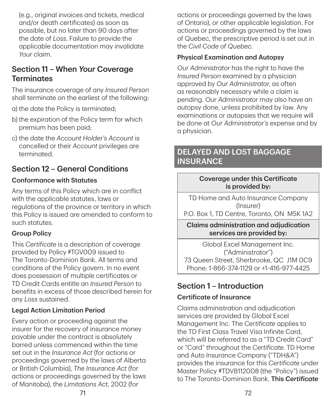(e.g., original invoices and tickets, medical and/or death certificates) as soon as possible, but no later than 90 days after the date of *Loss*. Failure to provide the applicable documentation may invalidate *Your* claim.

# Section 11 – When *Your* Coverage **Terminates**

The insurance coverage of any *Insured Person* shall terminate on the earliest of the following:

- a) the date the Policy is terminated;
- b) the expiration of the Policy term for which premium has been paid;
- c) the date the *Account Holder's Account* is cancelled or their *Account* privileges are terminated.

# Section 12 – General Conditions

#### Conformance with Statutes

Any terms of this Policy which are in conflict with the applicable statutes, laws or regulations of the province or territory in which this Policy is issued are amended to conform to such statutes.

#### Group Policy

This *Certificate* is a description of coverage provided by Policy #TGV009 issued to The Toronto‑Dominion Bank. All terms and conditions of the Policy govern. In no event does possession of multiple certificates or TD Credit Cards entitle an *Insured Person* to benefits in excess of those described herein for any *Loss* sustained.

#### Legal Action Limitation Period

Every action or proceeding against the insurer for the recovery of insurance money payable under the contract is absolutely barred unless commenced within the time set out in the *Insurance Act* (for actions or proceedings governed by the laws of Alberta or British Columbia), *The Insurance Act* (for actions or proceedings governed by the laws of Manitoba), the *Limitations Act*, 2002 (for

actions or proceedings governed by the laws of Ontario), or other applicable legislation. For actions or proceedings governed by the laws of Quebec, the prescriptive period is set out in the *Civil Code of Quebec*.

#### Physical Examination and Autopsy

*Our Administrator* has the right to have the *Insured Person* examined by a physician approved by *Our Administrator*, as often as reasonably necessary while a claim is pending. *Our Administrator* may also have an autopsy done, unless prohibited by law. Any examinations or autopsies that we require will be done at *Our Administrator's* expense and by a physician.

# DELAYED AND LOST BAGGAGE **INSURANCE**

#### Coverage under this Certificate is provided by:

TD Home and Auto Insurance Company (Insurer)

P.O. Box 1, TD Centre, Toronto, ON M5K 1A2

#### Claims administration and adjudication services are provided by:

Global Excel Management Inc. ("Administrator") 73 Queen Street, Sherbrooke, QC J1M 0C9 Phone: 1‑866‑374‑1129 or +1‑416‑977‑4425

# Section 1 – Introduction

#### Certificate of Insurance

Claims administration and adjudication services are provided by Global Excel Management Inc. The *Certificate* applies to the TD First Class Travel Visa Infinite Card, which will be referred to as a "TD Credit Card" or "Card" throughout the *Certificate*. TD Home and Auto Insurance Company ("TDH&A") provides the insurance for this *Certificate* under Master Policy #TDVB112008 (the "Policy") issued to The Toronto‑Dominion Bank. This *Certificate*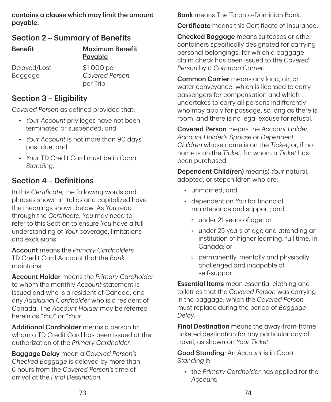contains a clause which may limit the amount payable.

# Section 2 – Summary of Benefits

| <b>Benefit</b> | <b>Maximum Benefit</b><br>Payable |
|----------------|-----------------------------------|
| Delayed/Lost   | \$1,000 per                       |
| Baggage        | Covered Person<br>per Trip        |

### Section 3 – Eligibility

*Covered Person* as defined provided that:

- *Your Account* privileges have not been terminated or suspended; and
- *Your Account* is not more than 90 days past due; and
- *Your* TD Credit Card must be in *Good Standing*.

# Section 4 – Definitions

In this *Certificate*, the following words and phrases shown in italics and capitalized have the meanings shown below. As *You* read through the *Certificate*, *You* may need to refer to this Section to ensure *You* have a full understanding of *Your* coverage, limitations and exclusions.

Account means the *Primary Cardholders* TD Credit Card Account that the *Bank* maintains.

Account Holder means the *Primary Cardholder* to whom the monthly *Account* statement is issued and who is a resident of Canada, and any *Additional Cardholder* who is a resident of Canada. The *Account Holder* may be referred herein as "*You*" or "*Your*".

Additional Cardholder means a person to whom a TD Credit Card has been issued at the authorization of the *Primary Cardholder*.

Baggage Delay mean a *Covered Person's Checked Baggage* is delayed by more than 6 hours from the *Covered Person's* time of arrival at the *Final Destination*.

**Bank** means The Toronto-Dominion Bank.

Certificate means this Certificate of Insurance.

Checked Baggage means suitcases or other containers specifically designated for carrying personal belongings, for which a baggage claim check has been issued to the *Covered Person* by a *Common Carrier*.

Common Carrier means any land, air, or water conveyance, which is licensed to carry passengers for compensation and which undertakes to carry all persons indifferently who may apply for passage, so long as there is room, and there is no legal excuse for refusal.

Covered Person means the *Account Holder*, *Account Holder's Spouse* or *Dependent Children* whose name is on the *Ticket*, or, if no name is on the *Ticket*, for whom a *Ticket* has been purchased.

Dependent Child(ren) mean(s) *Your* natural, adopted, or stepchildren who are:

- unmarried; and
- dependent on *You* for financial maintenance and support; and
	- under 21 years of age; or
	- under 25 years of age and attending an institution of higher learning, full time, in Canada; or
	- permanently, mentally and physically challenged and incapable of self‑support.

**Essential Items** mean essential clothing and toiletries that the *Covered Person* was carrying in the baggage, which the *Covered Person* must replace during the period of *Baggage Delay*.

Final Destination means the away-from-home ticketed destination for any particular day of travel, as shown on *Your Ticket*.

Good Standing: An *Account* is in *Good Standing* if:

• the *Primary Cardholder* has applied for the *Account*;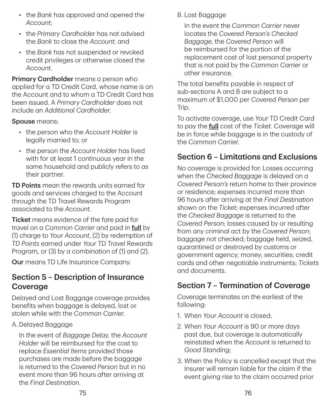- the *Bank* has approved and opened the *Account*;
- the *Primary Cardholde*r has not advised the *Bank* to close the *Account*; and
- the *Bank* has not suspended or revoked credit privileges or otherwise closed the *Account*.

Primary Cardholder means a person who applied for a TD Credit Card, whose name is on the Account and to whom a TD Credit Card has been issued. A *Primary Cardholder* does not include an *Additional Cardholder*.

#### Spouse means:

- the person who the *Account Holder* is legally married to; or
- the person the *Account Holder* has lived with for at least 1 continuous year in the same household and publicly refers to as their partner.

TD Points mean the rewards units earned for goods and services charged to the Account through the TD Travel Rewards Program associated to the *Account*.

**Ticket** means evidence of the fare paid for travel on a *Common Carrier* and paid in full by (1) charge to *Your Account*, (2) by redemption of *TD Points* earned under *Your* TD Travel Rewards Program, or (3) by a combination of (1) and (2).

Our means TD Life Insurance Company.

### Section 5 – Description of Insurance Coverage

Delayed and Lost Baggage coverage provides benefits when baggage is delayed, lost or stolen while with the *Common Carrier*.

#### A. Delayed Baggage

In the event of *Baggage Delay*, the *Account Holder* will be reimbursed for the cost to replace *Essential Items* provided those purchases are made before the baggage is returned to the *Covered Person* but in no event more than 96 hours after arriving at the *Final Destination*.

B. Lost Baggage

In the event the *Common Carrier* never locates the *Covered Person's Checked Baggage*, the *Covered Person* will be reimbursed for the portion of the replacement cost of lost personal property that is not paid by the *Common Carrier* or other insurance.

The total benefits payable in respect of sub‑sections A and B are subject to a maximum of \$1,000 per *Covered Person* per Trip.

To activate coverage, use *Your* TD Credit Card to pay the full cost of the *Ticket*. Coverage will be in force while baggage is in the custody of the *Common Carrier*.

# Section 6 – Limitations and Exclusions

No coverage is provided for: Losses occurring when the *Checked Baggage* is delayed on a *Covered Person's* return home to their province or residence; expenses incurred more than 96 hours after arriving at the *Final Destination* shown on the *Ticket*; expenses incurred after the *Checked Baggage* is returned to the *Covered Person*; losses caused by or resulting from any criminal act by the *Covered Person*; baggage not checked; baggage held, seized, quarantined or destroyed by customs or government agency; money; securities; credit cards and other negotiable instruments; *Tickets* and documents.

# Section 7 – Termination of Coverage

Coverage terminates on the earliest of the following:

- 1. When *Your Account* is closed;
- 2. When *Your Account* is 90 or more days past due, but coverage is automatically reinstated when the *Account* is returned to *Good Standing*;
- 3. When the Policy is cancelled except that the Insurer will remain liable for the claim if the event giving rise to the claim occurred prior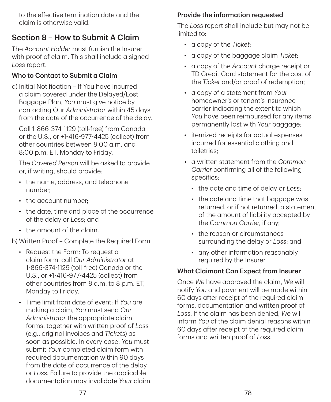to the effective termination date and the claim is otherwise valid.

# Section 8 – How to Submit A Claim

The *Account Holder* must furnish the Insurer with proof of claim. This shall include a signed *Loss* report.

### Who to Contact to Submit a Claim

a) Initial Notification – If You have incurred a claim covered under the Delayed/Lost Baggage Plan, *You* must give notice by contacting Our *Administrator* within 45 days from the date of the occurrence of the delay.

Call 1‑866‑374‑1129 (toll‑free) from Canada or the U.S., or +1‑416‑977‑4425 (collect) from other countries between 8:00 a.m. and 8:00 p.m. ET, Monday to Friday.

The *Covered Person* will be asked to provide or, if writing, should provide:

- the name, address, and telephone number;
- the account number;
- the date, time and place of the occurrence of the delay or *Loss*; and
- the amount of the claim.

b) Written Proof – Complete the Required Form

- Request the Form: To request a claim form, call *Our Administrator* at 1‑866‑374‑1129 (toll‑free) Canada or the U.S., or +1‑416‑977‑4425 (collect) from other countries from 8 a.m. to 8 p.m. ET, Monday to Friday.
- Time limit from date of event: If *You* are making a claim, *You* must send *Our Administrator* the appropriate claim forms, together with written proof of *Loss* (e.g., original invoices and *Tickets*) as soon as possible. In every case, *You* must submit *Your* completed claim form with required documentation within 90 days from the date of occurrence of the delay or *Loss*. Failure to provide the applicable documentation may invalidate *Your* claim.

#### Provide the information requested

The *Loss* report shall include but may not be limited to:

- a copy of the *Ticket*;
- a copy of the baggage claim *Ticket*;
- a copy of the *Account* charge receipt or TD Credit Card statement for the cost of the *Ticket* and/or proof of redemption;
- a copy of a statement from *Your* homeowner's or tenant's insurance carrier indicating the extent to which *You* have been reimbursed for any items permanently lost with *Your* baggage;
- itemized receipts for actual expenses incurred for essential clothing and toiletries;
- a written statement from the *Common Carrier* confirming all of the following specifics:
	- the date and time of delay or *Loss*;
	- the date and time that baggage was returned, or if not returned, a statement of the amount of liability accepted by the *Common Carrier*, if any;
	- the reason or circumstances surrounding the delay or *Loss*; and
	- any other information reasonably required by the Insurer.

#### What Claimant Can Expect from Insurer

Once *We* have approved the claim, *We* will notify *You* and payment will be made within 60 days after receipt of the required claim forms, documentation and written proof of *Loss*. If the claim has been denied, *We* will inform *You* of the claim denial reasons within 60 days after receipt of the required claim forms and written proof of *Loss*.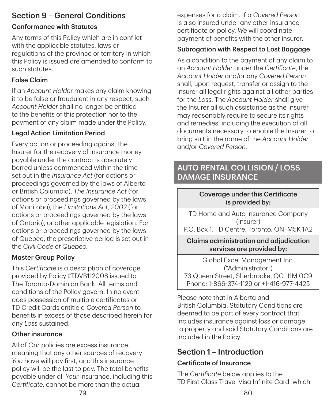# Section 9 – General Conditions

# Conformance with Statutes

Any terms of this Policy which are in conflict with the applicable statutes, laws or regulations of the province or territory in which this Policy is issued are amended to conform to such statutes.

# False Claim

If an *Account Holde*r makes any claim knowing it to be false or fraudulent in any respect, such *Account Holder* shall no longer be entitled to the benefits of this protection nor to the payment of any claim made under the Policy.

# Legal Action Limitation Period

Every action or proceeding against the Insurer for the recovery of insurance money payable under the contract is absolutely barred unless commenced within the time set out in the *Insurance Act* (for actions or proceedings governed by the laws of Alberta or British Columbia), *The Insurance Act* (for actions or proceedings governed by the laws of Manitoba), the *Limitations Act, 2002* (for actions or proceedings governed by the laws of Ontario), or other applicable legislation. For actions or proceedings governed by the laws of Quebec, the prescriptive period is set out in the *Civil Code of Quebec*.

# Master Group Policy

This *Certificate* is a description of coverage provided by Policy #TDVB112008 issued to The Toronto‑Dominion Bank. All terms and conditions of the Policy govern. In no event does possession of multiple certificates or TD Credit Cards entitle a *Covered Person* to benefits in excess of those described herein for any *Loss* sustained.

### Other insurance

All of *Our* policies are excess insurance, meaning that any other sources of recovery *You* have will pay first, and this insurance policy will be the last to pay. The total benefits payable under all *Your* insurance, including this *Certificate*, cannot be more than the actual

expenses for a claim. If a *Covered Person* is also insured under any other insurance certificate or policy, *We* will coordinate payment of benefits with the other insurer.

# Subrogation with Respect to Lost Baggage

As a condition to the payment of any claim to an *Account Holder* under the *Certificate*, the *Account Holder* and/or any *Covered Person* shall, upon request, transfer or assign to the Insurer all legal rights against all other parties for the *Loss*. The *Account Holder* shall give the Insurer all such assistance as the Insurer may reasonably require to secure its rights and remedies, including the execution of all documents necessary to enable the Insurer to bring suit in the name of the *Account Holder* and/or *Covered Person*.

# AUTO RENTAL COLLISION / LOSS DAMAGE INSURANCE

### Coverage under this Certificate is provided by:

TD Home and Auto Insurance Company (Insurer)

P.O. Box 1, TD Centre, Toronto, ON M5K 1A2

#### Claims administration and adjudication services are provided by:

Global Excel Management Inc. ("Administrator") 73 Queen Street, Sherbrooke, QC J1M 0C9 Phone: 1‑866‑374‑1129 or +1‑416‑977‑4425

Please note that in Alberta and British Columbia, Statutory Conditions are deemed to be part of every contract that includes insurance against loss or damage to property and said Statutory Conditions are included in the Policy.

# Section 1 – Introduction

# Certificate of Insurance

The *Certificate* below applies to the TD First Class Travel Visa Infinite Card, which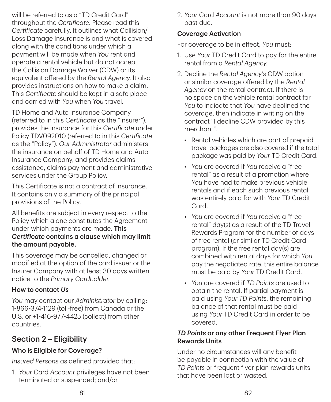will be referred to as a "TD Credit Card" throughout the *Certificate*. Please read this *Certificate* carefully. It outlines what Collision/ Loss Damage Insurance is and what is covered along with the conditions under which a payment will be made when *You* rent and operate a rental vehicle but do not accept the Collision Damage Waiver (CDW) or its equivalent offered by the *Rental Agency*. It also provides instructions on how to make a claim. This *Certificate* should be kept in a safe place and carried with *You* when *You* travel.

TD Home and Auto Insurance Company (referred to in this *Certificate* as the "Insurer"), provides the insurance for this *Certificate* under Policy TDV092010 (referred to in this *Certificate* as the "Policy"). *Our Administrator* administers the insurance on behalf of TD Home and Auto Insurance Company, and provides claims assistance, claims payment and administrative services under the Group Policy.

This Certificate is not a contract of insurance. It contains only a summary of the principal provisions of the Policy.

All benefits are subject in every respect to the Policy which alone constitutes the Agreement under which payments are made. This *Certificate* contains a clause which may limit the amount payable.

This coverage may be cancelled, changed or modified at the option of the card issuer or the Insurer Company with at least 30 days written notice to the *Primary Cardholder*.

#### How to contact *Us*

*You* may contact our *Administrator* by calling: 1‑866‑374‑1129 (toll‑free) from Canada or the U.S. or +1‑416‑977‑4425 (collect) from other countries.

# Section 2 – Eligibility

### Who is Eligible for Coverage?

*Insured Persons* as defined provided that:

1. *Your* Card *Account* privileges have not been terminated or suspended; and/or

2. *Your* Card *Account* is not more than 90 days past due.

#### Coverage Activation

For coverage to be in effect, *You* must:

- 1. Use *Your* TD Credit Card to pay for the entire rental from a *Rental Agency*.
- 2. Decline the *Rental Agency's* CDW option or similar coverage offered by the *Rental Agency* on the rental contract. If there is no space on the vehicle rental contract for *You* to indicate that *You* have declined the coverage, then indicate in writing on the contract "I decline CDW provided by this merchant".
	- Rental vehicles which are part of prepaid travel packages are also covered if the total package was paid by *Your* TD Credit Card.
	- *You* are covered if *You* receive a "free rental" as a result of a promotion where *You* have had to make previous vehicle rentals and if each such previous rental was entirely paid for with *Your* TD Credit Card.
	- *You* are covered if *You* receive a "free rental" day(s) as a result of the TD Travel Rewards Program for the number of days of free rental (or similar TD Credit Card program). If the free rental day(s) are combined with rental days for which *You* pay the negotiated rate, this entire balance must be paid by *Your* TD Credit Card.
	- *You* are covered if *TD Points* are used to obtain the rental. If partial payment is paid using *Your TD Points*, the remaining balance of that rental must be paid using *Your* TD Credit Card in order to be covered.

#### *TD Points* or any other Frequent Flyer Plan Rewards Units

Under no circumstances will any benefit be payable in connection with the value of *TD Points* or frequent flyer plan rewards units that have been lost or wasted.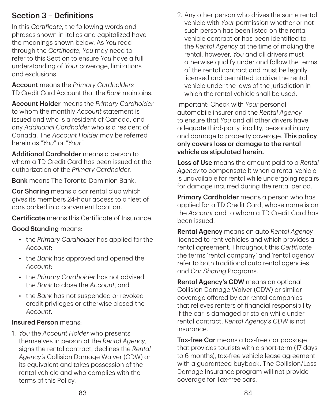# Section 3 – Definitions

In this *Certificate*, the following words and phrases shown in italics and capitalized have the meanings shown below. As *You* read through the *Certificate*, *You* may need to refer to this Section to ensure *You* have a full understanding of *Your* coverage, limitations and exclusions.

Account means the *Primary Cardholders* TD Credit Card Account that the *Bank* maintains.

Account Holder means the *Primary Cardholder* to whom the monthly *Account* statement is issued and who is a resident of Canada, and any *Additional Cardholder* who is a resident of Canada. The *Account Holder* may be referred herein as "*You*" or "*Your*".

Additional Cardholder means a person to whom a TD Credit Card has been issued at the authorization of the *Primary Cardholde*r.

**Bank** means The Toronto-Dominion Bank.

Car Sharing means a car rental club which gives its members 24‑hour access to a fleet of cars parked in a convenient location.

Certificate means this Certificate of Insurance.

#### Good Standing means:

- the *Primary Cardholder* has applied for the *Account*;
- the *Bank* has approved and opened the *Account*;
- the *Primary Cardholder* has not advised the *Bank* to close the *Account*; and
- the *Bank* has not suspended or revoked credit privileges or otherwise closed the *Account*.

#### Insured Person means:

1. *You* the *Account Holder* who presents themselves in person at the *Rental Agency*, signs the rental contract, declines the *Rental Agency's* Collision Damage Waiver (CDW) or its equivalent and takes possession of the rental vehicle and who complies with the terms of this Policy.

2. Any other person who drives the same rental vehicle with *Your* permission whether or not such person has been listed on the rental vehicle contract or has been identified to the *Rental Agency* at the time of making the rental, however, *You* and all drivers must otherwise qualify under and follow the terms of the rental contract and must be legally licensed and permitted to drive the rental vehicle under the laws of the jurisdiction in which the rental vehicle shall be used.

Important: Check with *Your* personal automobile insurer and the *Rental Agency* to ensure that *You* and all other drivers have adequate third‑party liability, personal injury and damage to property coverage. This policy only covers loss or damage to the rental vehicle as stipulated herein.

Loss of Use means the amount paid to a *Rental Agency* to compensate it when a rental vehicle is unavailable for rental while undergoing repairs for damage incurred during the rental period.

**Primary Cardholder** means a person who has applied for a TD Credit Card, whose name is on the *Account* and to whom a TD Credit Card has been issued.

Rental Agency means an auto *Rental Agency* licensed to rent vehicles and which provides a rental agreement. Throughout this *Certificate* the terms 'rental company' and 'rental agency' refer to both traditional auto rental agencies and *Car Sharing* Programs.

Rental Agency's CDW means an optional Collision Damage Waiver (CDW) or similar coverage offered by car rental companies that relieves renters of financial responsibility if the car is damaged or stolen while under rental contract. *Rental Agency's CDW* is not insurance.

Tax-free Car means a tax-free car package that provides tourists with a short‑term (17 days to 6 months), tax-free vehicle lease agreement with a guaranteed buyback. The Collision/Loss Damage Insurance program will not provide coverage for Tax‑free cars.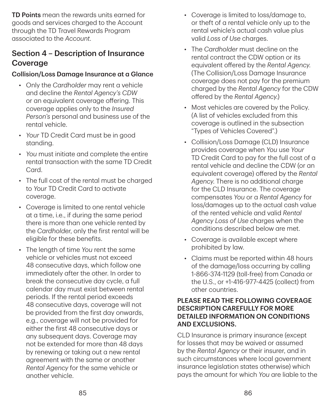TD Points mean the rewards units earned for goods and services charged to the Account through the TD Travel Rewards Program associated to the *Account*.

# Section 4 – Description of Insurance **Coverage**

#### Collision/Loss Damage Insurance at a Glance

- Only the *Cardholder* may rent a vehicle and decline the *Rental Agency's CDW* or an equivalent coverage offering. This coverage applies only to the *Insured Person's* personal and business use of the rental vehicle.
- *Your* TD Credit Card must be in good standing.
- *You* must initiate and complete the entire rental transaction with the same TD Credit Card.
- The full cost of the rental must be charged to *Your* TD Credit Card to activate coverage.
- Coverage is limited to one rental vehicle at a time, i.e., if during the same period there is more than one vehicle rented by the *Cardholder*, only the first rental will be eligible for these benefits.
- The length of time *You* rent the same vehicle or vehicles must not exceed 48 consecutive days, which follow one immediately after the other. In order to break the consecutive day cycle, a full calendar day must exist between rental periods. If the rental period exceeds 48 consecutive days, coverage will not be provided from the first day onwards, e.g., coverage will not be provided for either the first 48 consecutive days or any subsequent days. Coverage may not be extended for more than 48 days by renewing or taking out a new rental agreement with the same or another *Rental Agency* for the same vehicle or another vehicle.
- Coverage is limited to loss/damage to, or theft of a rental vehicle only up to the rental vehicle's actual cash value plus valid *Loss of Use* charges.
- The *Cardholder* must decline on the rental contract the CDW option or its equivalent offered by the *Rental Agency*. (The Collision/Loss Damage Insurance coverage does not pay for the premium charged by the *Rental Agency* for the CDW offered by the *Rental Agency*.)
- Most vehicles are covered by the Policy. (A list of vehicles excluded from this coverage is outlined in the subsection "Types of Vehicles Covered".)
- Collision/Loss Damage (CLD) Insurance provides coverage when *You* use *Your* TD Credit Card to pay for the full cost of a rental vehicle and decline the CDW (or an equivalent coverage) offered by the *Rental Agency*. There is no additional charge for the CLD Insurance. The coverage compensates *You* or a *Rental Agency* for loss/damages up to the actual cash value of the rented vehicle and valid *Rental Agency Loss of Use* charges when the conditions described below are met.
- Coverage is available except where prohibited by law.
- Claims must be reported within 48 hours of the damage/loss occurring by calling 1‑866‑374‑1129 (toll‑free) from Canada or the U.S., or +1‑416‑977‑4425 (collect) from other countries.

#### PLEASE READ THE FOLLOWING COVERAGE DESCRIPTION CAREFULLY FOR MORE DETAILED INFORMATION ON CONDITIONS AND EXCLUSIONS.

CLD Insurance is primary insurance (except for losses that may be waived or assumed by the *Rental Agency* or their insurer, and in such circumstances where local government insurance legislation states otherwise) which pays the amount for which *You* are liable to the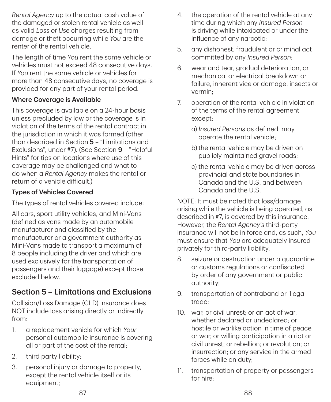*Rental Agency* up to the actual cash value of the damaged or stolen rental vehicle as well as valid *Loss of Use* charges resulting from damage or theft occurring while *You* are the renter of the rental vehicle.

The length of time *You* rent the same vehicle or vehicles must not exceed 48 consecutive days. If *You* rent the same vehicle or vehicles for more than 48 consecutive days, no coverage is provided for any part of your rental period.

### Where Coverage is Available

This coverage is available on a 24‑hour basis unless precluded by law or the coverage is in violation of the terms of the rental contract in the jurisdiction in which it was formed (other than described in Section 5 – "Limitations and Exclusions", under #7). (See Section 9 – "Helpful Hints" for tips on locations where use of this coverage may be challenged and what to do when a *Rental Agency* makes the rental or return of a vehicle difficult.)

### Types of Vehicles Covered

The types of rental vehicles covered include:

All cars, sport utility vehicles, and Mini‑Vans (defined as vans made by an automobile manufacturer and classified by the manufacturer or a government authority as Mini‑Vans made to transport a maximum of 8 people including the driver and which are used exclusively for the transportation of passengers and their luggage) except those excluded below.

# Section 5 – Limitations and Exclusions

Collision/Loss Damage (CLD) Insurance does NOT include loss arising directly or indirectly from:

- 1. a replacement vehicle for which *Your* personal automobile insurance is covering all or part of the cost of the rental;
- 2. third party liability;
- 3. personal injury or damage to property, except the rental vehicle itself or its equipment;
- 4. the operation of the rental vehicle at any time during which any *Insured Person* is driving while intoxicated or under the influence of any narcotic;
- 5. any dishonest, fraudulent or criminal act committed by any *Insured Person*;
- 6. wear and tear, gradual deterioration, or mechanical or electrical breakdown or failure, inherent vice or damage, insects or vermin;
- 7. operation of the rental vehicle in violation of the terms of the rental agreement except:
	- a) *Insured Persons* as defined, may operate the rental vehicle;
	- b) the rental vehicle may be driven on publicly maintained gravel roads;
	- c) the rental vehicle may be driven across provincial and state boundaries in Canada and the U.S. and between Canada and the U.S.

NOTE: It must be noted that loss/damage arising while the vehicle is being operated, as described in #7, is covered by this insurance. However, the *Rental Agency's* third‑party insurance will not be in force and, as such, *You* must ensure that *You* are adequately insured privately for third‑party liability.

- 8. seizure or destruction under a quarantine or customs regulations or confiscated by order of any government or public authority;
- 9. transportation of contraband or illegal trade;
- 10. war; or civil unrest; or an act of war, whether declared or undeclared; or hostile or warlike action in time of peace or war; or willing participation in a riot or civil unrest; or rebellion; or revolution; or insurrection; or any service in the armed forces while on duty;
- 11. transportation of property or passengers for hire;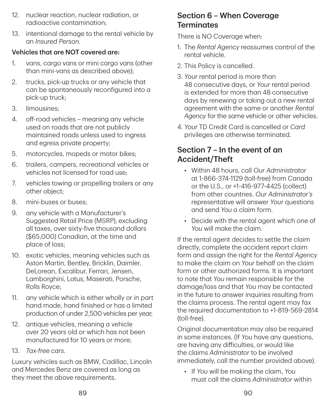- 12. nuclear reaction, nuclear radiation, or radioactive contamination;
- 13. intentional damage to the rental vehicle by an *Insured Person*.

#### Vehicles that are NOT covered are:

- 1. vans, cargo vans or mini cargo vans (other than mini‑vans as described above);
- 2. trucks, pick‑up trucks or any vehicle that can be spontaneously reconfigured into a pick‑up truck;
- 3. limousines;
- 4. off-road vehicles meaning any vehicle used on roads that are not publicly maintained roads unless used to ingress and egress private property;
- 5. motorcycles, mopeds or motor bikes;
- 6. trailers, campers, recreational vehicles or vehicles not licensed for road use;
- 7. vehicles towing or propelling trailers or any other object;
- 8. mini-buses or buses:
- 9. any vehicle with a Manufacturer's Suggested Retail Price (MSRP), excluding all taxes, over sixty‑five thousand dollars (\$65,000) Canadian, at the time and place of loss;
- 10. exotic vehicles, meaning vehicles such as Aston Martin, Bentley, Bricklin, Daimler, DeLorean, Excalibur, Ferrari, Jensen, Lamborghini, Lotus, Maserati, Porsche, Rolls Royce;
- 11. any vehicle which is either wholly or in part hand made, hand finished or has a limited production of under 2,500 vehicles per year;
- 12. antique vehicles, meaning a vehicle over 20 years old or which has not been manufactured for 10 years or more;
- 13. *Tax‑free cars.*

Luxury vehicles such as BMW, Cadillac, Lincoln and Mercedes Benz are covered as long as they meet the above requirements.

### Section 6 – When Coverage **Terminates**

There is NO Coverage when:

- 1. The *Rental Agency* reassumes control of the rental vehicle.
- 2. This Policy is cancelled.
- 3. *Your* rental period is more than 48 consecutive days, or *Your* rental period is extended for more than 48 consecutive days by renewing or taking out a new rental agreement with the same or another *Rental Agency* for the same vehicle or other vehicles.
- 4. *Your* TD Credit Card is cancelled or *Card* privileges are otherwise terminated.

# Section 7 – In the event of an Accident/Theft

- Within 48 hours, call *Our Administrator* at 1‑866‑374‑1129 (toll‑free) from Canada or the U.S., or +1‑416‑977‑4425 (collect) from other countries. *Our Administrator's* representative will answer *Your* questions and send *You* a claim form.
- Decide with the rental agent which one of *You* will make the claim.

If the rental agent decides to settle the claim directly, complete the accident report claim form and assign the right for the *Rental Agency* to make the claim on *Your* behalf on the claim form or other authorized forms. It is important to note that *You* remain responsible for the damage/loss and that *You* may be contacted in the future to answer inquiries resulting from the claims process. The rental agent may fax the required documentation to +1‑819‑569‑2814 (toll‑free).

Original documentation may also be required in some instances. (If *You* have any questions, are having any difficulties, or would like the claims *Administrator* to be involved immediately, call the number provided above).

• If *You* will be making the claim, *You* must call the claims *Administrator* within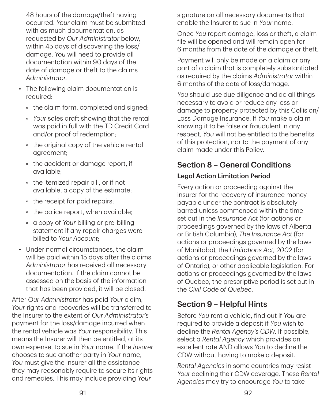48 hours of the damage/theft having occurred. *Your* claim must be submitted with as much documentation, as requested by *Our Administrator* below, within 45 days of discovering the loss/ damage. *You* will need to provide all documentation within 90 days of the date of damage or theft to the claims *Administrator*.

- The following claim documentation is required:
	- the claim form, completed and signed;
	- *Your* sales draft showing that the rental was paid in full with the TD Credit Card and/or proof of redemption;
	- the original copy of the vehicle rental agreement;
	- the accident or damage report, if available;
	- the itemized repair bill, or if not available, a copy of the estimate;
	- the receipt for paid repairs;
	- the police report, when available;
	- a copy of *Your* billing or pre‑billing statement if any repair charges were billed to *Your Account*;
- Under normal circumstances, the claim will be paid within 15 days after the claims *Administrator* has received all necessary documentation. If the claim cannot be assessed on the basis of the information that has been provided, it will be closed.

After *Our Administrator* has paid *Your* claim, *Your* rights and recoveries will be transferred to the Insurer to the extent of *Our Administrator's* payment for the loss/damage incurred when the rental vehicle was *Your* responsibility. This means the Insurer will then be entitled, at its own expense, to sue in *Your* name. If the *Insurer* chooses to sue another party in *Your* name, *You* must give the Insurer all the assistance they may reasonably require to secure its rights and remedies. This may include providing *Your*

signature on all necessary documents that enable the Insurer to sue in *Your* name.

Once *You* report damage, loss or theft, a claim file will be opened and will remain open for 6 months from the date of the damage or theft.

Payment will only be made on a claim or any part of a claim that is completely substantiated as required by the claims *Administrator* within 6 months of the date of loss/damage.

*You* should use due diligence and do all things necessary to avoid or reduce any loss or damage to property protected by this Collision/ Loss Damage Insurance. If *You* make a claim knowing it to be false or fraudulent in any respect, *You* will not be entitled to the benefits of this protection, nor to the payment of any claim made under this Policy.

# Section 8 – General Conditions

### Legal Action Limitation Period

Every action or proceeding against the insurer for the recovery of insurance money payable under the contract is absolutely barred unless commenced within the time set out in the *Insurance Act* (for actions or proceedings governed by the laws of Alberta or British Columbia), *The Insurance Act* (for actions or proceedings governed by the laws of Manitoba), the *Limitations Act, 2002* (for actions or proceedings governed by the laws of Ontario), or other applicable legislation. For actions or proceedings governed by the laws of Quebec, the prescriptive period is set out in the *Civil Code of Quebec*.

# Section 9 – Helpful Hints

Before *You* rent a vehicle, find out if *You* are required to provide a deposit if *You* wish to decline the *Rental Agency's CDW*. If possible, select a *Rental Agency* which provides an excellent rate AND allows *You* to decline the CDW without having to make a deposit.

*Rental Agencies* in some countries may resist *Your* declining their CDW coverage. These *Rental Agencies* may try to encourage *You* to take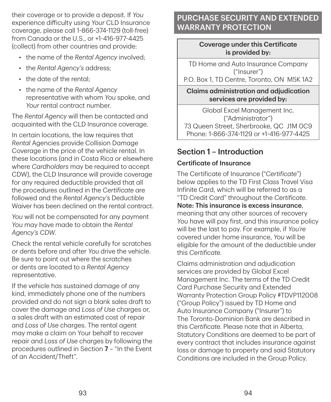their coverage or to provide a deposit. If *You* experience difficulty using *Your* CLD Insurance coverage, please call 1‑866‑374‑1129 (toll‑free) from Canada or the U.S., or +1‑416‑977‑4425 (collect) from other countries and provide:

- the name of the *Rental Agency* involved;
- the *Rental Agency's* address;
- the date of the rental;
- the name of the *Rental Agency* representative with whom *You* spoke, and *Your* rental contract number.

The *Rental Agency* will then be contacted and acquainted with the CLD Insurance coverage.

In certain locations, the law requires that *Rental* Agencies provide Collision Damage Coverage in the price of the vehicle rental. In these locations (and in Costa Rica or elsewhere where *Cardholders* may be required to accept CDW), the CLD Insurance will provide coverage for any required deductible provided that all the procedures outlined in the *Certificate* are followed and the *Rental Agency's* Deductible Waiver has been declined on the rental contract.

*You* will not be compensated for any payment *You* may have made to obtain the *Rental Agency's CDW*.

Check the rental vehicle carefully for scratches or dents before and after *You* drive the vehicle. Be sure to point out where the scratches or dents are located to a *Rental Agency* representative.

If the vehicle has sustained damage of any kind, immediately phone one of the numbers provided and do not sign a blank sales draft to cover the damage and *Loss of Use* charges or, a sales draft with an estimated cost of repair and *Loss of Use* charges. The rental agent may make a claim on Your behalf to recover repair and *Loss of Use* charges by following the procedures outlined in Section 7 – "In the Event of an Accident/Theft".

# PURCHASE SECURITY AND EXTENDED WARRANTY PROTECTION

#### Coverage under this Certificate is provided by:

TD Home and Auto Insurance Company ("Insurer")

P.O. Box 1, TD Centre, Toronto, ON M5K 1A2

Claims administration and adjudication services are provided by:

Global Excel Management Inc. ("Administrator") 73 Queen Street, Sherbrooke, QC J1M 0C9 Phone: 1‑866‑374‑1129 or +1‑416‑977‑4425

# Section 1 – Introduction

# Certificate of Insurance

The Certificate of Insurance ("*Certificate*") below applies to the TD First Class Travel Visa Infinite Card, which will be referred to as a "TD Credit Card" throughout the *Certificate*. Note: This insurance is excess insurance, meaning that any other sources of recovery *You* have will pay first, and this insurance policy will be the last to pay. For example, if *You're* covered under home insurance, *You* will be eligible for the amount of the deductible under this *Certificate*.

Claims administration and adjudication services are provided by Global Excel Management Inc. The terms of the TD Credit Card Purchase Security and Extended Warranty Protection Group Policy #TDVP112008 ("Group Policy") issued by TD Home and Auto Insurance Company ("Insurer") to The Toronto‑Dominion Bank are described in this *Certificate*. Please note that in Alberta, Statutory Conditions are deemed to be part of every contract that includes insurance against loss or damage to property and said Statutory Conditions are included in the Group Policy.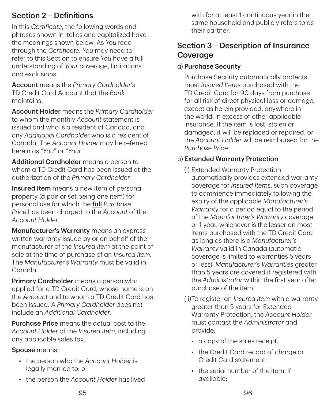# Section 2 – Definitions

In this *Certificate*, the following words and phrases shown in italics and capitalized have the meanings shown below. As *You* read through the *Certificate*, *You* may need to refer to this Section to ensure *You* have a full understanding of *Your* coverage, limitations and exclusions.

Account means the *Primary Cardholder's* TD Credit Card Account that the *Bank* maintains.

Account Holder means the *Primary Cardholder* to whom the monthly *Account* statement is issued and who is a resident of Canada, and any *Additional Cardholder* who is a resident of Canada. The *Account Holder* may be referred herein as "*You*" or "*Your*".

Additional Cardholder means a person to whom a TD Credit Card has been issued at the authorization of the *Primary Cardholder*.

**Insured Item** means a new item of personal property (a pair or set being one item) for personal use for which the full *Purchase Price* has been charged to the *Account* of the *Account Holder*.

Manufacturer's Warranty means an express written warranty issued by or on behalf of the manufacturer of the *Insured Item* at the point of sale at the time of purchase of an *Insured Item*. The *Manufacturer's Warranty* must be valid in Canada.

**Primary Cardholder** means a person who applied for a TD Credit Card, whose name is on the *Account* and to whom a TD Credit Card has been issued. A *Primary Cardholder* does not include an *Additional Cardholder*.

Purchase Price means the actual cost to the *Account Holder* of the *Insured Item*, including any applicable sales tax.

#### Spouse means:

- the person who the *Account Holder* is legally married to; or
- the person the *Account Holder* has lived

with for at least 1 continuous year in the same household and publicly refers to as their partner.

# Section 3 – Description of Insurance Coverage

#### a) Purchase Security

Purchase Security automatically protects most *Insured Items* purchased with the TD Credit Card for 90 days from purchase for all risk of direct physical loss or damage, except as herein provided, anywhere in the world, in excess of other applicable insurance. If the item is lost, stolen or damaged, it will be replaced or repaired, or the *Account Holder* will be reimbursed for the *Purchase Price*.

#### b) Extended Warranty Protection

- (i) Extended Warranty Protection automatically provides extended warranty coverage for *Insured Items*, such coverage to commence immediately following the expiry of the applicable *Manufacturer's Warranty* for a period equal to the period of the *Manufacturer's Warranty* coverage or 1 year, whichever is the lesser on most items purchased with the TD Credit Card as long as there is a *Manufacturer's Warranty* valid in Canada (automatic coverage is limited to warranties 5 years or less). *Manufacturer's Warranties* greater than 5 years are covered if registered with the *Administrator* within the first year after purchase of the item.
- (ii) To register an *Insured Item* with a warranty greater than 5 years for Extended Warranty Protection, the *Account Holder* must contact the *Administrator* and provide:
	- a copy of the sales receipt;
	- the Credit Card record of charge or Credit Card statement;
	- the serial number of the item, if available;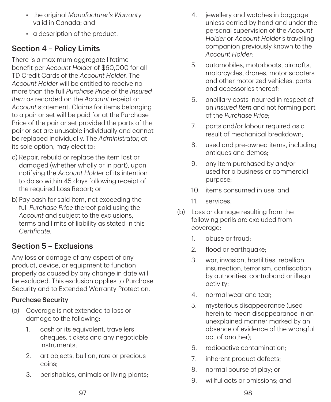- the original *Manufacturer's Warranty* valid in Canada; and
- a description of the product.

# Section 4 – Policy Limits

There is a maximum aggregate lifetime benefit per *Account Holde*r of \$60,000 for all TD Credit Cards of the *Account Holder*. The *Account Holder* will be entitled to receive no more than the full *Purchase Price* of the *Insured Item* as recorded on the *Account* receipt or *Account* statement. Claims for items belonging to a pair or set will be paid for at the Purchase Price of the pair or set provided the parts of the pair or set are unusable individually and cannot be replaced individually. The *Administrator*, at its sole option, may elect to:

- a) Repair, rebuild or replace the item lost or damaged (whether wholly or in part), upon notifying the *Account Holder* of its intention to do so within 45 days following receipt of the required Loss Report; or
- b) Pay cash for said item, not exceeding the full *Purchase Price* thereof paid using the *Account* and subject to the exclusions, terms and limits of liability as stated in this *Certificate*.

# Section 5 – Exclusions

Any loss or damage of any aspect of any product, device, or equipment to function properly as caused by any change in date will be excluded. This exclusion applies to Purchase Security and to Extended Warranty Protection.

#### Purchase Security

- (a) Coverage is not extended to loss or damage to the following:
	- 1. cash or its equivalent, travellers cheques, tickets and any negotiable instruments;
	- 2. art objects, bullion, rare or precious coins;
	- 3. perishables, animals or living plants;
- 4. jewellery and watches in baggage unless carried by hand and under the personal supervision of the *Account Holder* or *Account Holder's* travelling companion previously known to the *Account Holder*;
- 5. automobiles, motorboats, aircrafts, motorcycles, drones, motor scooters and other motorized vehicles, parts and accessories thereof;
- 6. ancillary costs incurred in respect of an *Insured Item* and not forming part of the *Purchase Price*;
- 7. parts and/or labour required as a result of mechanical breakdown;
- 8. used and pre‑owned items, including antiques and demos;
- 9. any item purchased by and/or used for a business or commercial purpose;
- 10. items consumed in use; and
- 11. services.
- (b) Loss or damage resulting from the following perils are excluded from coverage:
	- 1. abuse or fraud;
	- 2. flood or earthquake;
	- 3. war, invasion, hostilities, rebellion, insurrection, terrorism, confiscation by authorities, contraband or illegal activity;
	- 4. normal wear and tear;
	- 5. mysterious disappearance (used herein to mean disappearance in an unexplained manner marked by an absence of evidence of the wrongful act of another);
	- 6. radioactive contamination;
	- 7. inherent product defects;
	- 8. normal course of play; or
	- 9. willful acts or omissions; and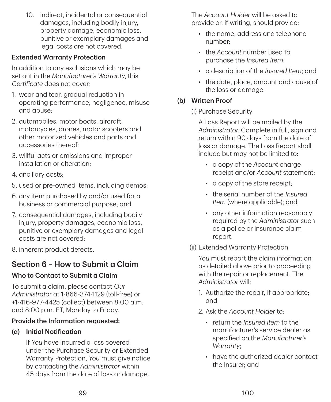10. indirect, incidental or consequential damages, including bodily injury, property damage, economic loss, punitive or exemplary damages and legal costs are not covered.

### Extended Warranty Protection

In addition to any exclusions which may be set out in the *Manufacturer's Warranty*, this *Certificate* does not cover:

- 1. wear and tear, gradual reduction in operating performance, negligence, misuse and abuse;
- 2. automobiles, motor boats, aircraft, motorcycles, drones, motor scooters and other motorized vehicles and parts and accessories thereof;
- 3. willful acts or omissions and improper installation or alteration;
- 4. ancillary costs;
- 5. used or pre‑owned items, including demos;
- 6. any item purchased by and/or used for a business or commercial purpose; and
- 7. consequential damages, including bodily injury, property damages, economic loss, punitive or exemplary damages and legal costs are not covered;
- 8. inherent product defects.

# Section 6 – How to Submit a Claim

# Who to Contact to Submit a Claim

To submit a claim, please contact *Our Administrator* at 1‑866‑374‑1129 (toll‑free) or +1‑416‑977‑4425 (collect) between 8:00 a.m. and 8:00 p.m. ET, Monday to Friday.

# Provide the Information requested:

# (a) Initial Notification

If *You* have incurred a loss covered under the Purchase Security or Extended Warranty Protection, *You* must give notice by contacting the *Administrator* within 45 days from the date of loss or damage.

The *Account Holder* will be asked to provide or, if writing, should provide:

- the name, address and telephone number;
- the *Account* number used to purchase the *Insured Item*;
- a description of the *Insured Item*; and
- the date, place, amount and cause of the loss or damage.

### (b) Written Proof

(i) Purchase Security

A Loss Report will be mailed by the *Administrator*. Complete in full, sign and return within 90 days from the date of loss or damage. The Loss Report shall include but may not be limited to:

- a copy of the *Account* charge receipt and/or *Account* statement;
- a copy of the store receipt;
- the serial number of the *Insured Item* (where applicable); and
- any other information reasonably required by the *Administrator* such as a police or insurance claim report.
- (ii) Extended Warranty Protection

*You* must report the claim information as detailed above prior to proceeding with the repair or replacement. The *Administrator* will:

- 1. Authorize the repair, if appropriate; and
- 2. Ask the *Account Holder* to:
	- return the *Insured Item* to the manufacturer's service dealer as specified on the *Manufacturer's Warranty*;
	- have the authorized dealer contact the Insurer; and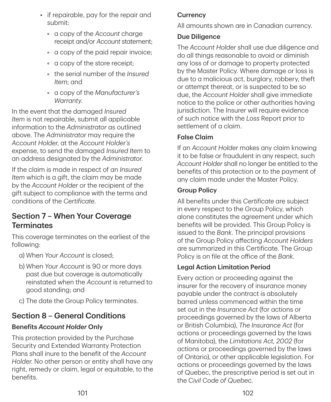- if repairable, pay for the repair and submit:
	- a copy of the *Account* charge receipt and/or *Account* statement;
	- a copy of the paid repair invoice;
	- a copy of the store receipt;
	- the serial number of the *Insured Item*; and
	- a copy of the *Manufacturer's Warranty*.

In the event that the damaged *Insured Item* is not repairable, submit all applicable information to the *Administrator* as outlined above. The *Administrator* may require the *Account Holder*, at the *Account Holder's* expense, to send the damaged *Insured Item* to an address designated by the *Administrator*.

If the claim is made in respect of an *Insured Item* which is a gift, the claim may be made by the *Account Holder* or the recipient of the gift subject to compliance with the terms and conditions of the *Certificate*.

# Section 7 – When Your Coverage **Terminates**

This coverage terminates on the earliest of the following:

- a) When *Your Account* is closed;
- b) When *Your Account* is 90 or more days past due but coverage is automatically reinstated when the *Account* is returned to good standing; and
- c) The date the Group Policy terminates.

# Section 8 – General Conditions

# Benefits *Account Holder* Only

This protection provided by the Purchase Security and Extended Warranty Protection Plans shall inure to the benefit of the *Account Holder*. No other person or entity shall have any right, remedy or claim, legal or equitable, to the benefits.

# **Currency**

All amounts shown are in Canadian currency.

### Due Diligence

The *Account Holder* shall use due diligence and do all things reasonable to avoid or diminish any loss of or damage to property protected by the Master Policy. Where damage or loss is due to a malicious act, burglary, robbery, theft or attempt thereat, or is suspected to be so due, the *Account Holder* shall give immediate notice to the police or other authorities having jurisdiction. The Insurer will require evidence of such notice with the *Loss* Report prior to settlement of a claim.

# False Claim

If an *Account Holder* makes any claim knowing it to be false or fraudulent in any respect, such *Account Holder* shall no longer be entitled to the benefits of this protection or to the payment of any claim made under the Master Policy.

### Group Policy

All benefits under this *Certificate* are subject in every respect to the Group Policy, which alone constitutes the agreement under which benefits will be provided. This Group Policy is issued to the *Bank*. The principal provisions of the Group Policy affecting *Account Holders* are summarized in this Certificate. The Group Policy is on file at the office of the *Bank*.

# Legal Action Limitation Period

Every action or proceeding against the insurer for the recovery of insurance money payable under the contract is absolutely barred unless commenced within the time set out in the *Insurance Act* (for actions or proceedings governed by the laws of Alberta or British Columbia), *The Insurance Act* (for actions or proceedings governed by the laws of Manitoba), the *Limitations Act, 2002* (for actions or proceedings governed by the laws of Ontario), or other applicable legislation. For actions or proceedings governed by the laws of Quebec, the prescriptive period is set out in the C*ivil Code of Quebec*.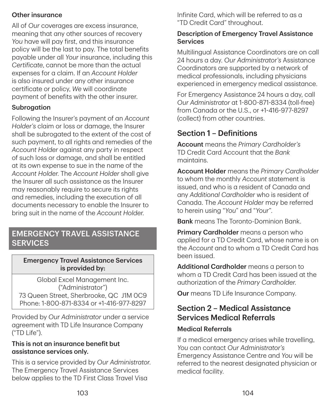#### Other insurance

All of *Our* coverages are excess insurance, meaning that any other sources of recovery *You* have will pay first, and this insurance policy will be the last to pay. The total benefits payable under all *Your* insurance, including this *Certificate*, cannot be more than the actual expenses for a claim. If an *Account Holder* is also insured under any other insurance certificate or policy, *We* will coordinate payment of benefits with the other insurer.

#### Subrogation

Following the Insurer's payment of an *Account Holder's* claim or loss or damage, the Insurer shall be subrogated to the extent of the cost of such payment, to all rights and remedies of the *Account Holder* against any party in respect of such loss or damage, and shall be entitled at its own expense to sue in the name of the *Account Holder*. The *Account Holder* shall give the Insurer all such assistance as the Insurer may reasonably require to secure its rights and remedies, including the execution of all documents necessary to enable the Insurer to bring suit in the name of the *Account Holder*.

# EMERGENCY TRAVEL ASSISTANCE **SERVICES**

#### Emergency Travel Assistance Services is provided by:

Global Excel Management Inc. ("Administrator") 73 Queen Street, Sherbrooke, QC J1M 0C9 Phone: 1‑800‑871‑8334 or +1‑416‑977‑8297

Provided by *Our Administrator* under a service agreement with TD Life Insurance Company ("TD Life").

#### This is not an insurance benefit but assistance services only.

This is a service provided by *Our Administrator*. The Emergency Travel Assistance Services below applies to the TD First Class Travel Visa

Infinite Card, which will be referred to as a "TD Credit Card" throughout.

### Description of Emergency Travel Assistance Services

Multilingual Assistance Coordinators are on call 24 hours a day. *Our Administrator's* Assistance Coordinators are supported by a network of medical professionals, including physicians experienced in emergency medical assistance.

For Emergency Assistance 24 hours a day, call *Our Administrator* at 1‑800‑871‑8334 (toll‑free) from Canada or the U.S., or +1‑416‑977‑8297 (collect) from other countries.

# Section 1 – Definitions

Account means the *Primary Cardholder's* TD Credit Card Account that the *Bank* maintains.

Account Holder means the *Primary Cardholder* to whom the monthly *Account* statement is issued, and who is a resident of Canada and any *Additional Cardholder* who is resident of Canada. The *Account Holder* may be referred to herein using "*You*" and "*Your*".

**Bank** means The Toronto-Dominion Bank.

**Primary Cardholder** means a person who applied for a TD Credit Card, whose name is on the *Account* and to whom a TD Credit Card has been issued.

Additional Cardholder means a person to whom a TD Credit Card has been issued at the authorization of the *Primary Cardholder*.

**Our** means TD Life Insurance Company.

# Section 2 – Medical Assistance Services Medical Referrals

#### Medical Referrals

If a medical emergency arises while travelling, *You* can contact *Our Administrator's* Emergency Assistance Centre and *You* will be referred to the nearest designated physician or medical facility.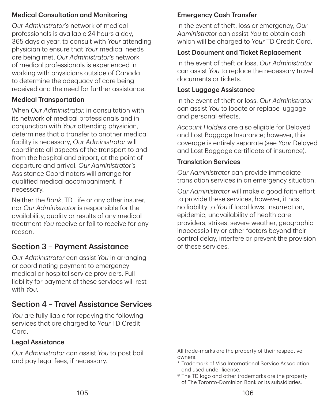#### Medical Consultation and Monitoring

*Our Administrator's* network of medical professionals is available 24 hours a day, 365 days a year, to consult with *Your* attending physician to ensure that *Your* medical needs are being met. *Our Administrator's* network of medical professionals is experienced in working with physicians outside of Canada to determine the adequacy of care being received and the need for further assistance.

#### Medical Transportation

When *Our Administrator*, in consultation with its network of medical professionals and in conjunction with *Your* attending physician, determines that a transfer to another medical facility is necessary, *Our Administrator* will coordinate all aspects of the transport to and from the hospital and airport, at the point of departure and arrival. *Our Administrator's* Assistance Coordinators will arrange for qualified medical accompaniment, if necessary.

Neither the *Bank*, TD Life or any other insurer, nor *Our Administrator* is responsible for the availability, quality or results of any medical treatment *You* receive or fail to receive for any reason.

# Section 3 – Payment Assistance

*Our Administrator* can assist *You* in arranging or coordinating payment to emergency medical or hospital service providers. Full liability for payment of these services will rest with *You*.

# Section 4 – Travel Assistance Services

*You* are fully liable for repaying the following services that are charged to *Your* TD Credit Card.

#### Legal Assistance

*Our Administrator* can assist *You* to post bail and pay legal fees, if necessary.

# Emergency Cash Transfer

In the event of theft, loss or emergency, *Our Administrator* can assist *You* to obtain cash which will be charged to *Your* TD Credit Card.

### Lost Document and Ticket Replacement

In the event of theft or loss, *Our Administrator* can assist *You* to replace the necessary travel documents or tickets.

#### Lost Luggage Assistance

In the event of theft or loss, *Our Administrator* can assist *You* to locate or replace luggage and personal effects.

*Account Holders* are also eligible for Delayed and Lost Baggage Insurance; however, this coverage is entirely separate (see *Your* Delayed and Lost Baggage certificate of insurance).

### Translation Services

*Our Administrator* can provide immediate translation services in an emergency situation.

*Our Administrator* will make a good faith effort to provide these services, however, it has no liability to *You* if local laws, insurrection, epidemic, unavailability of health care providers, strikes, severe weather, geographic inaccessibility or other factors beyond their control delay, interfere or prevent the provision of these services.

All trade‑marks are the property of their respective owners.

- \* T rademark of Visa International Service Association and used under license.
- ® The TD logo and other trademarks are the property of The Toronto‑Dominion Bank or its subsidiaries.